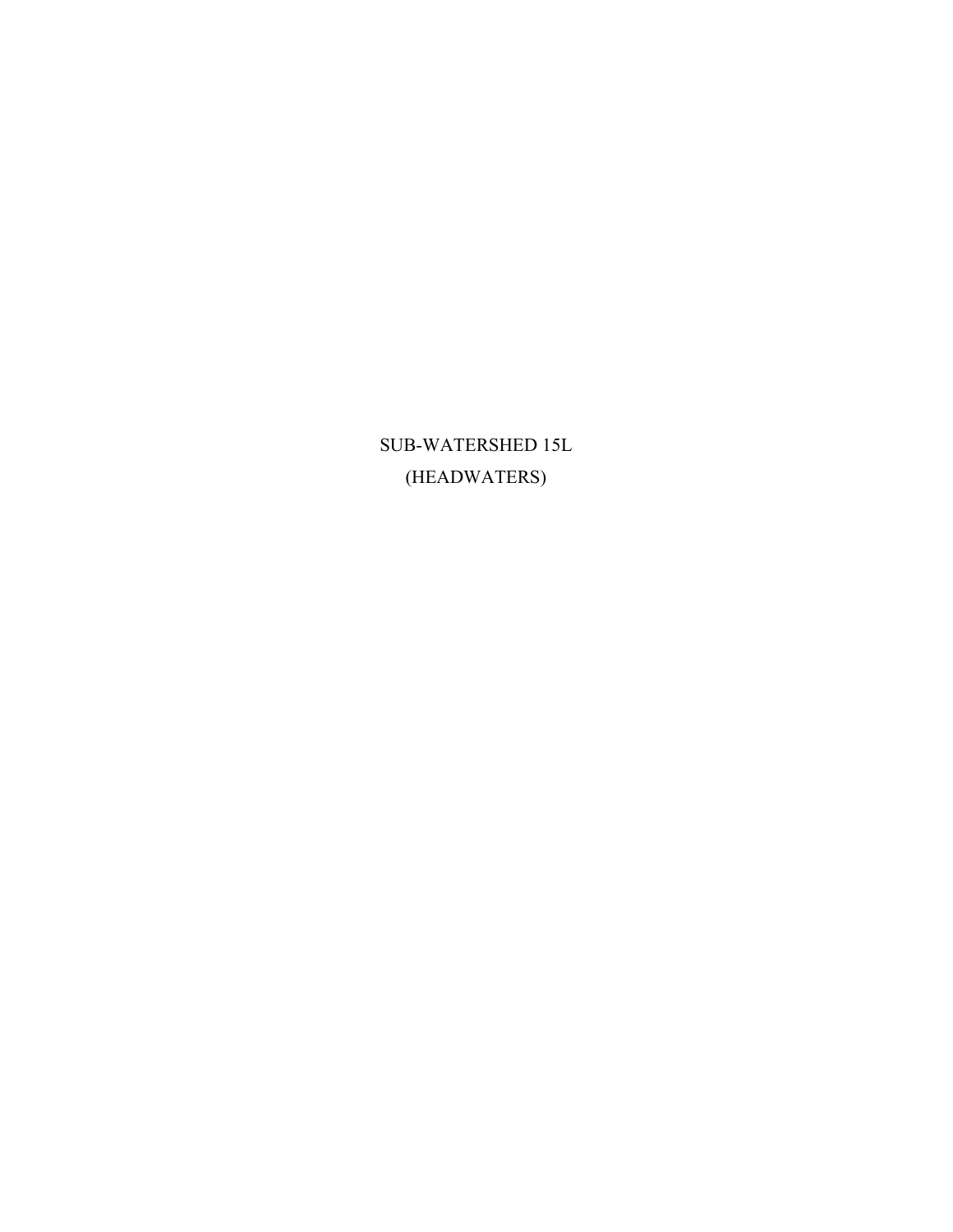SUB-WATERSHED 15L (HEADWATERS)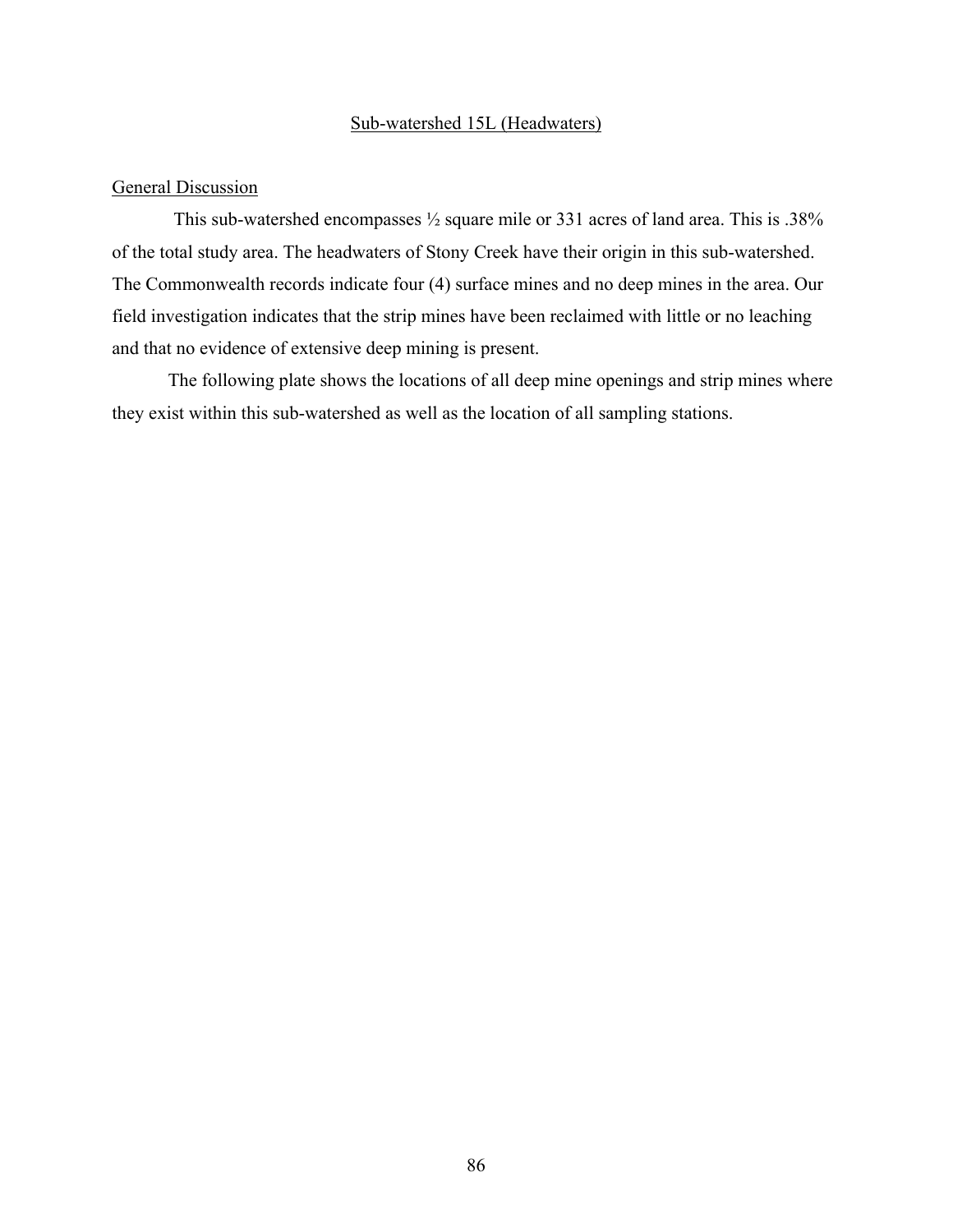#### Sub-watershed 15L (Headwaters)

#### General Discussion

This sub-watershed encompasses ½ square mile or 331 acres of land area. This is .38% of the total study area. The headwaters of Stony Creek have their origin in this sub-watershed. The Commonwealth records indicate four (4) surface mines and no deep mines in the area. Our field investigation indicates that the strip mines have been reclaimed with little or no leaching and that no evidence of extensive deep mining is present.

 The following plate shows the locations of all deep mine openings and strip mines where they exist within this sub-watershed as well as the location of all sampling stations.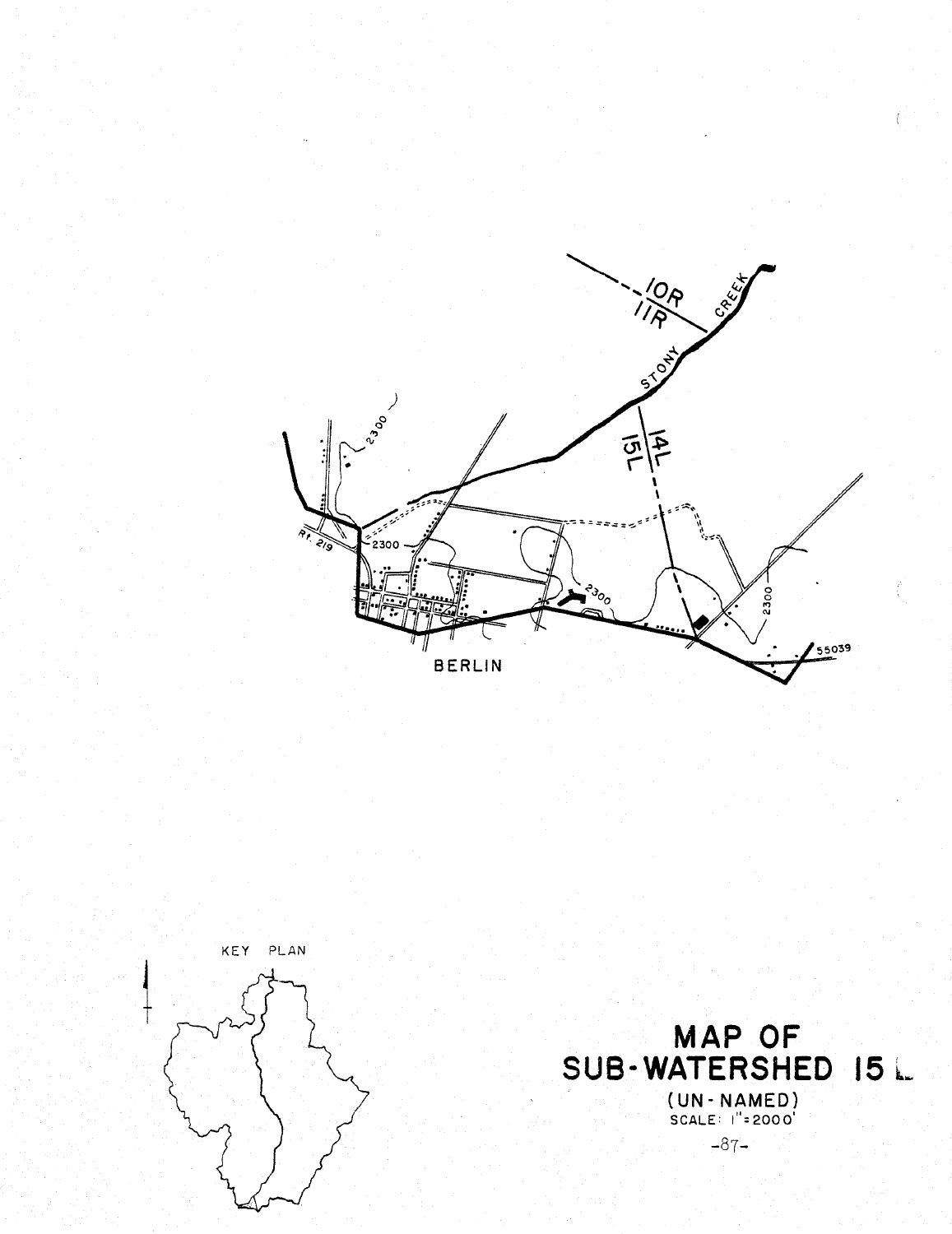





 $\big($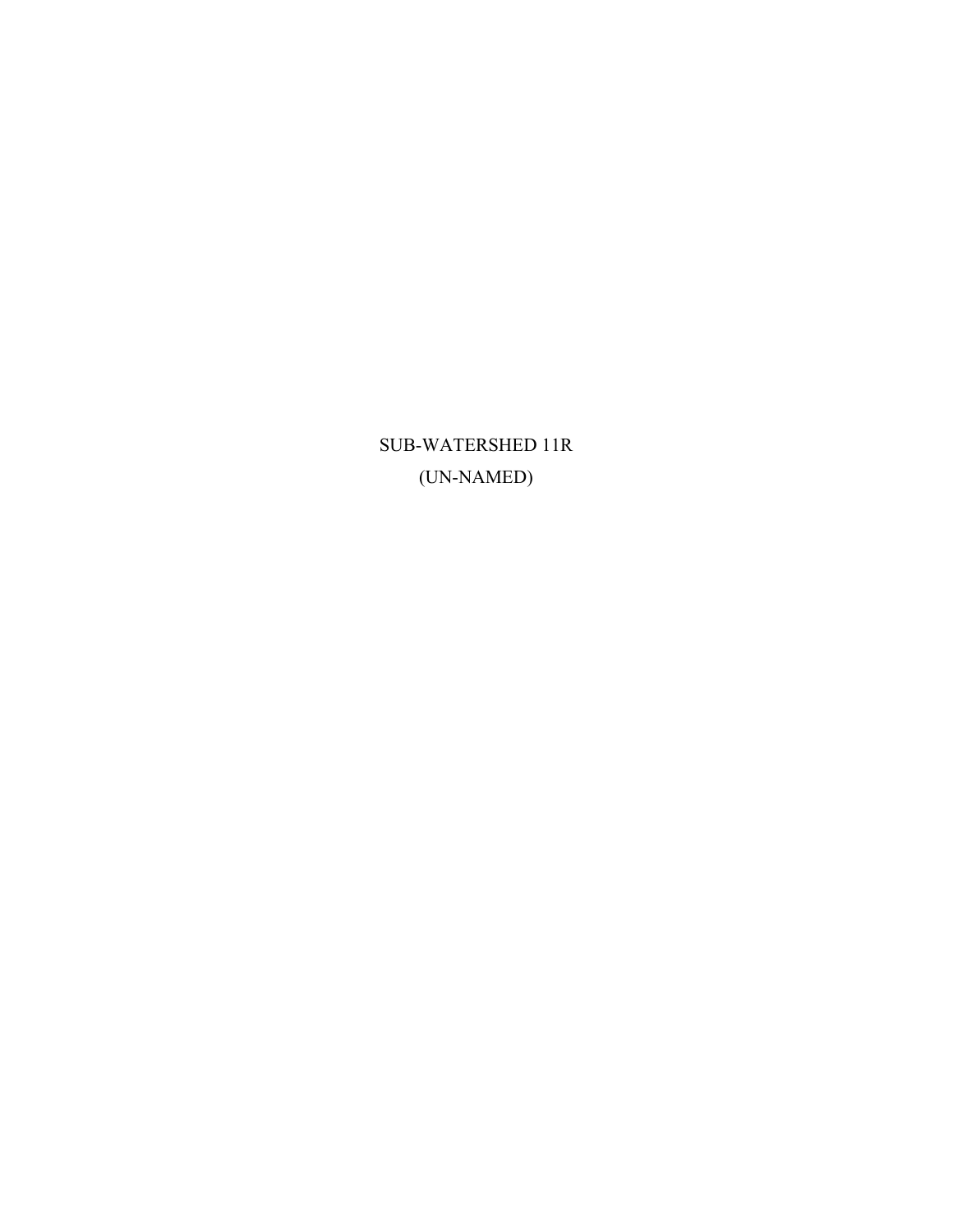SUB-WATERSHED 11R (UN-NAMED)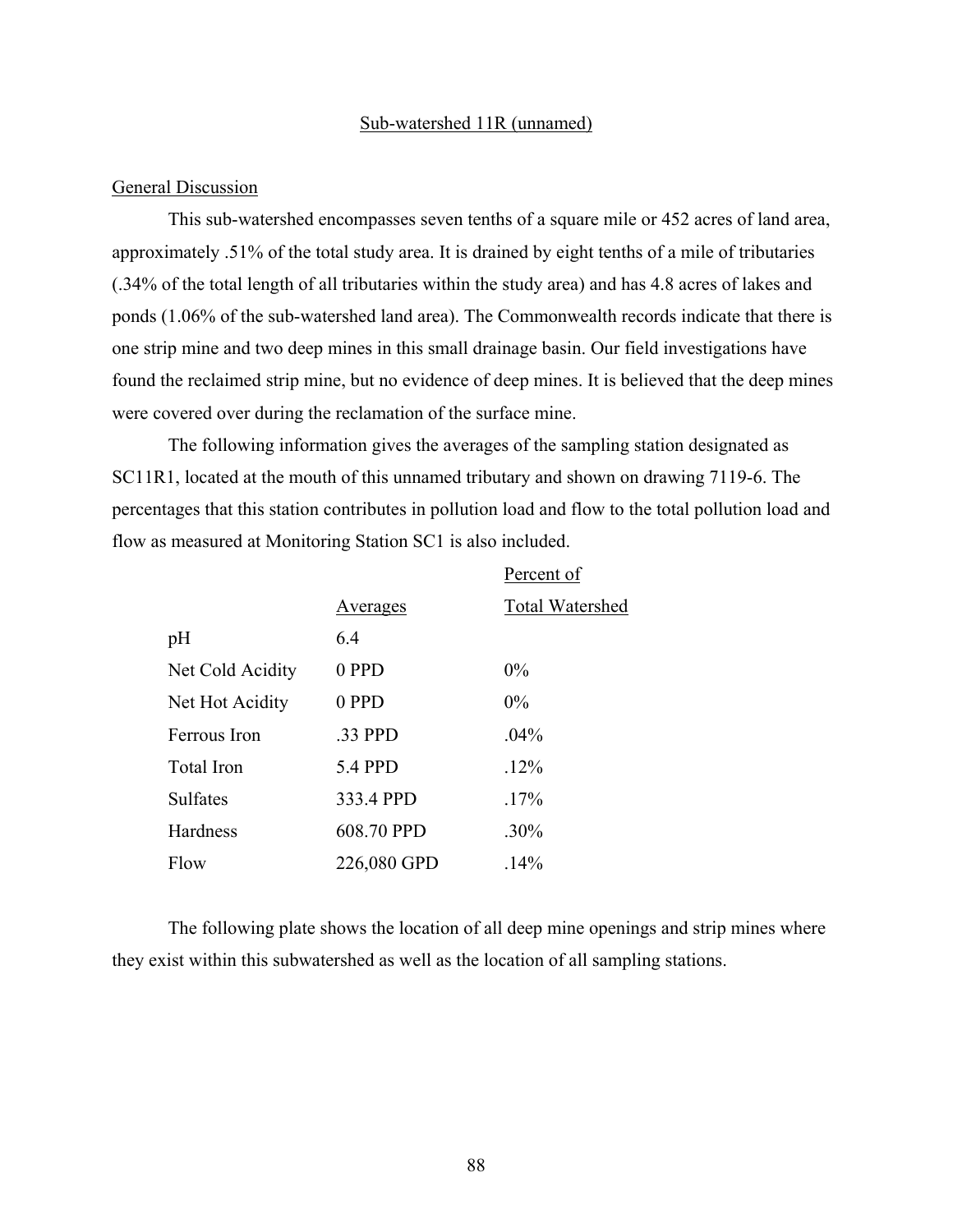#### Sub-watershed 11R (unnamed)

#### General Discussion

This sub-watershed encompasses seven tenths of a square mile or 452 acres of land area, approximately .51% of the total study area. It is drained by eight tenths of a mile of tributaries (.34% of the total length of all tributaries within the study area) and has 4.8 acres of lakes and ponds (1.06% of the sub-watershed land area). The Commonwealth records indicate that there is one strip mine and two deep mines in this small drainage basin. Our field investigations have found the reclaimed strip mine, but no evidence of deep mines. It is believed that the deep mines were covered over during the reclamation of the surface mine.

The following information gives the averages of the sampling station designated as SC11R1, located at the mouth of this unnamed tributary and shown on drawing 7119-6. The percentages that this station contributes in pollution load and flow to the total pollution load and flow as measured at Monitoring Station SC1 is also included.

|                  |             | Percent of             |
|------------------|-------------|------------------------|
|                  | Averages    | <b>Total Watershed</b> |
| pH               | 6.4         |                        |
| Net Cold Acidity | 0 PPD       | $0\%$                  |
| Net Hot Acidity  | 0 PPD       | $0\%$                  |
| Ferrous Iron     | .33 PPD     | $.04\%$                |
| Total Iron       | 5.4 PPD     | .12%                   |
| <b>Sulfates</b>  | 333.4 PPD   | $.17\%$                |
| Hardness         | 608.70 PPD  | $.30\%$                |
| Flow             | 226,080 GPD | .14%                   |

The following plate shows the location of all deep mine openings and strip mines where they exist within this subwatershed as well as the location of all sampling stations.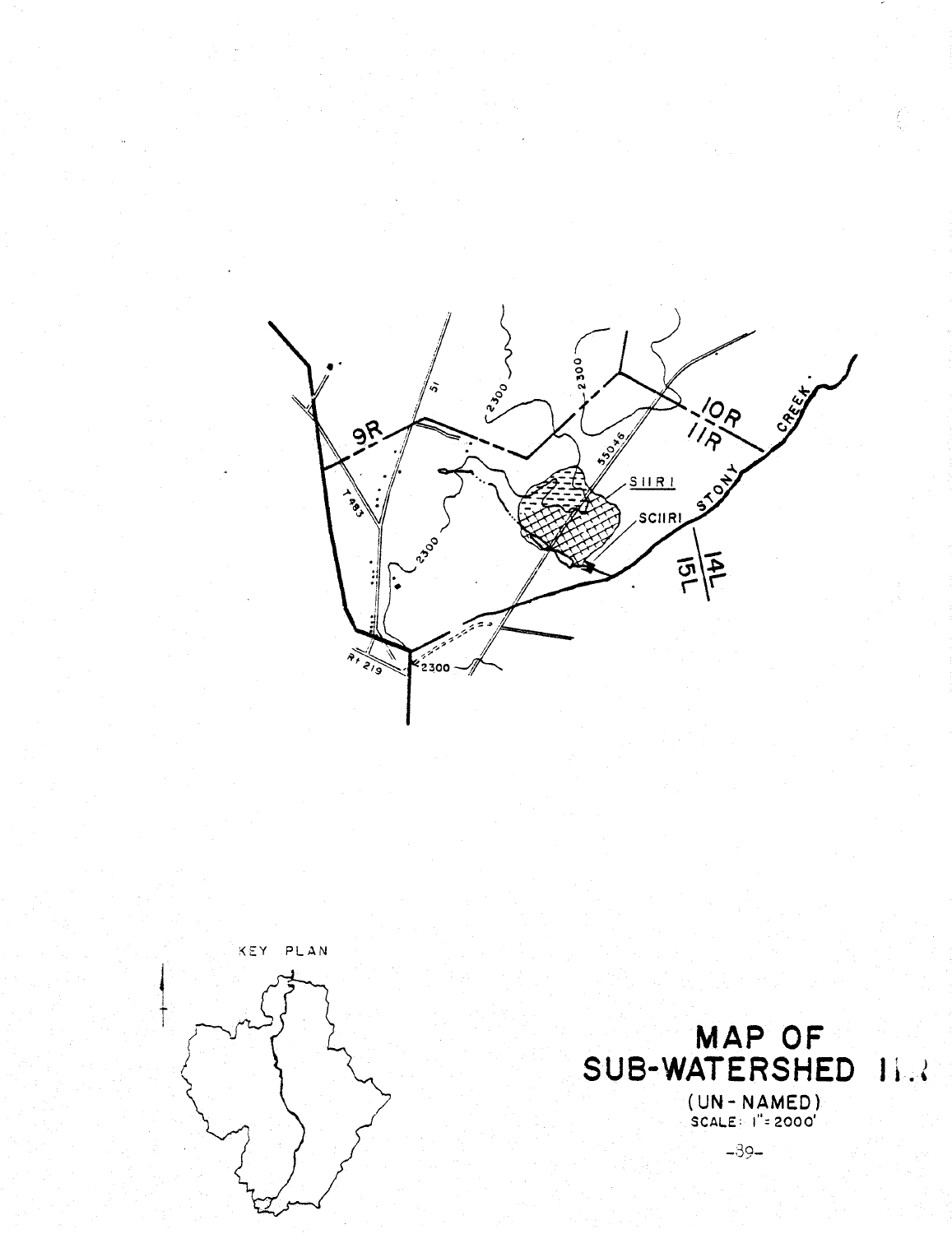





 $-39-$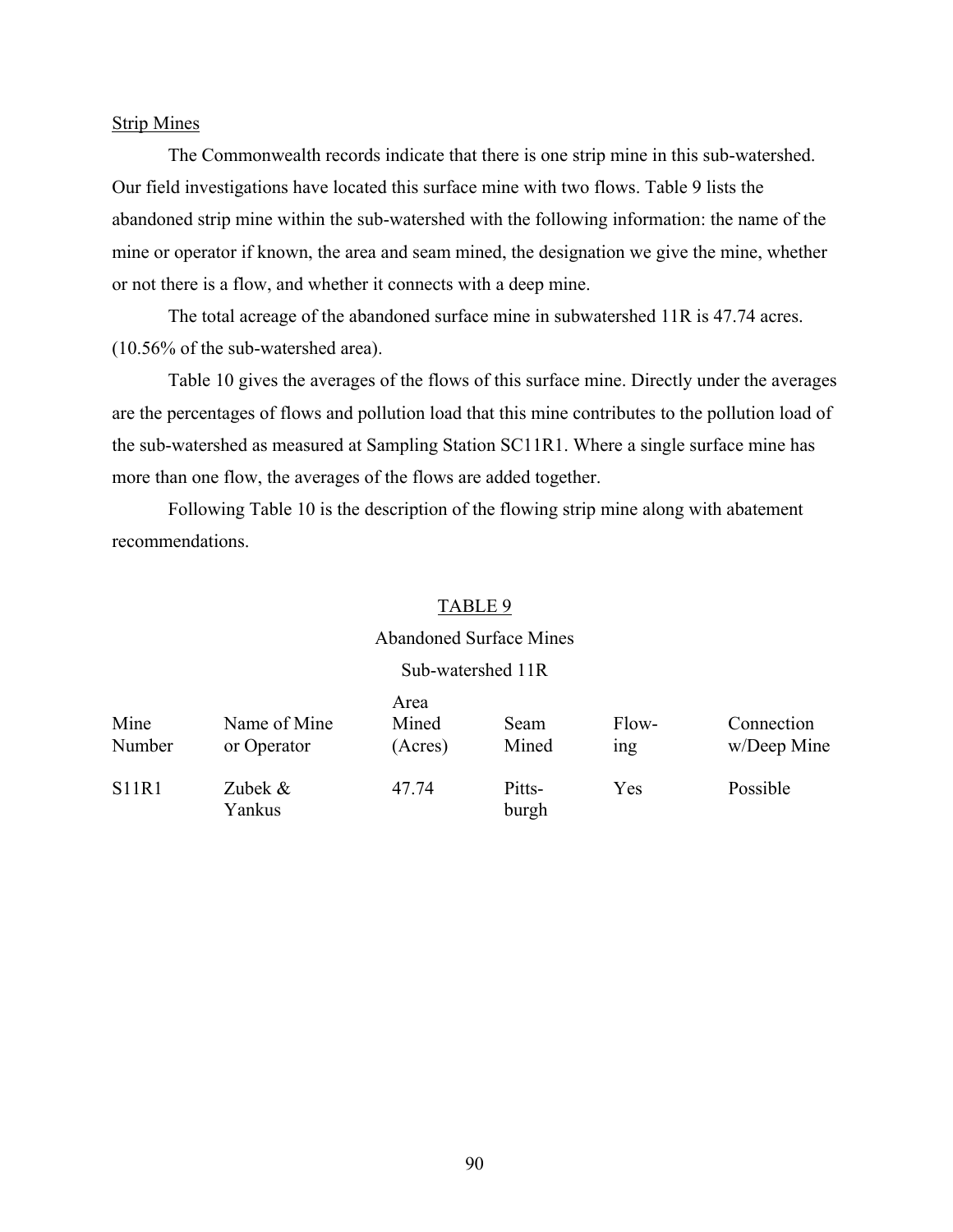#### Strip Mines

The Commonwealth records indicate that there is one strip mine in this sub-watershed. Our field investigations have located this surface mine with two flows. Table 9 lists the abandoned strip mine within the sub-watershed with the following information: the name of the mine or operator if known, the area and seam mined, the designation we give the mine, whether or not there is a flow, and whether it connects with a deep mine.

The total acreage of the abandoned surface mine in subwatershed 11R is 47.74 acres. (10.56% of the sub-watershed area).

Table 10 gives the averages of the flows of this surface mine. Directly under the averages are the percentages of flows and pollution load that this mine contributes to the pollution load of the sub-watershed as measured at Sampling Station SC11R1. Where a single surface mine has more than one flow, the averages of the flows are added together.

Following Table 10 is the description of the flowing strip mine along with abatement recommendations.

#### TABLE 9

#### Abandoned Surface Mines

### Sub-watershed 11R

| Mine<br>Number | Name of Mine<br>or Operator | Area<br>Mined<br>(Acres) | Seam<br>Mined   | Flow-<br><sub>1</sub> ng | Connection<br>w/Deep Mine |
|----------------|-----------------------------|--------------------------|-----------------|--------------------------|---------------------------|
| <b>S11R1</b>   | Zubek $\&$<br>Yankus        | 47.74                    | Pitts-<br>burgh | Yes                      | Possible                  |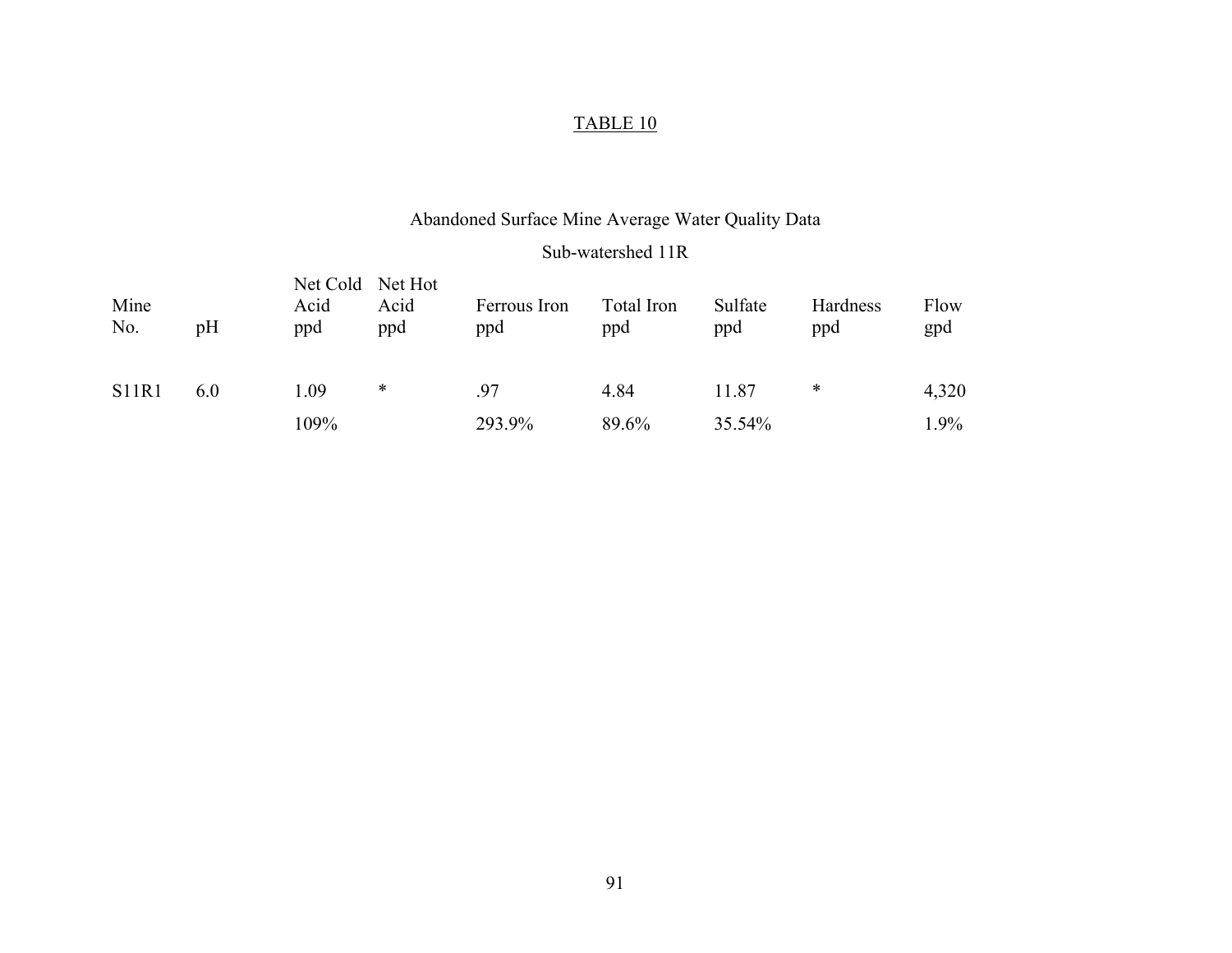# Abandoned Surface Mine Average Water Quality Data

#### Sub-watershed 11R

| Mine<br>No.  | pH  | Acid<br>ppd | Net Cold Net Hot<br>Acid<br>ppd | Ferrous Iron<br>ppd | Total Iron<br>ppd | Sulfate<br>ppd | Hardness<br>ppd | Flow<br>gpd |
|--------------|-----|-------------|---------------------------------|---------------------|-------------------|----------------|-----------------|-------------|
| <b>S11R1</b> | 6.0 | 1.09        | *                               | .97                 | 4.84              | 11.87          | ∗               | 4,320       |
|              |     | 109%        |                                 | 293.9%              | 89.6%             | 35.54%         |                 | $.9\%$      |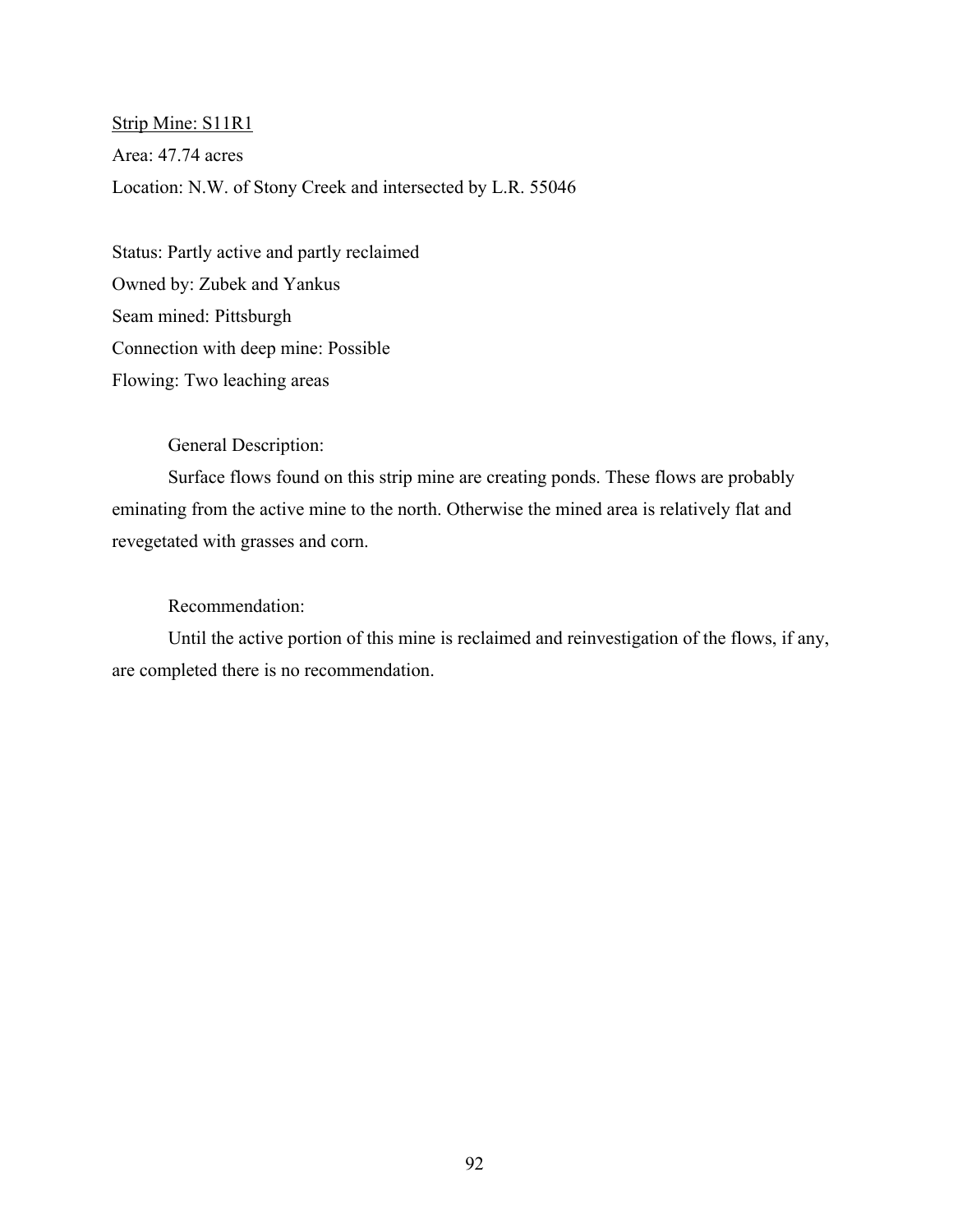Strip Mine: S11R1 Area: 47.74 acres Location: N.W. of Stony Creek and intersected by L.R. 55046

Status: Partly active and partly reclaimed Owned by: Zubek and Yankus Seam mined: Pittsburgh Connection with deep mine: Possible Flowing: Two leaching areas

General Description:

Surface flows found on this strip mine are creating ponds. These flows are probably eminating from the active mine to the north. Otherwise the mined area is relatively flat and revegetated with grasses and corn.

### Recommendation:

Until the active portion of this mine is reclaimed and reinvestigation of the flows, if any, are completed there is no recommendation.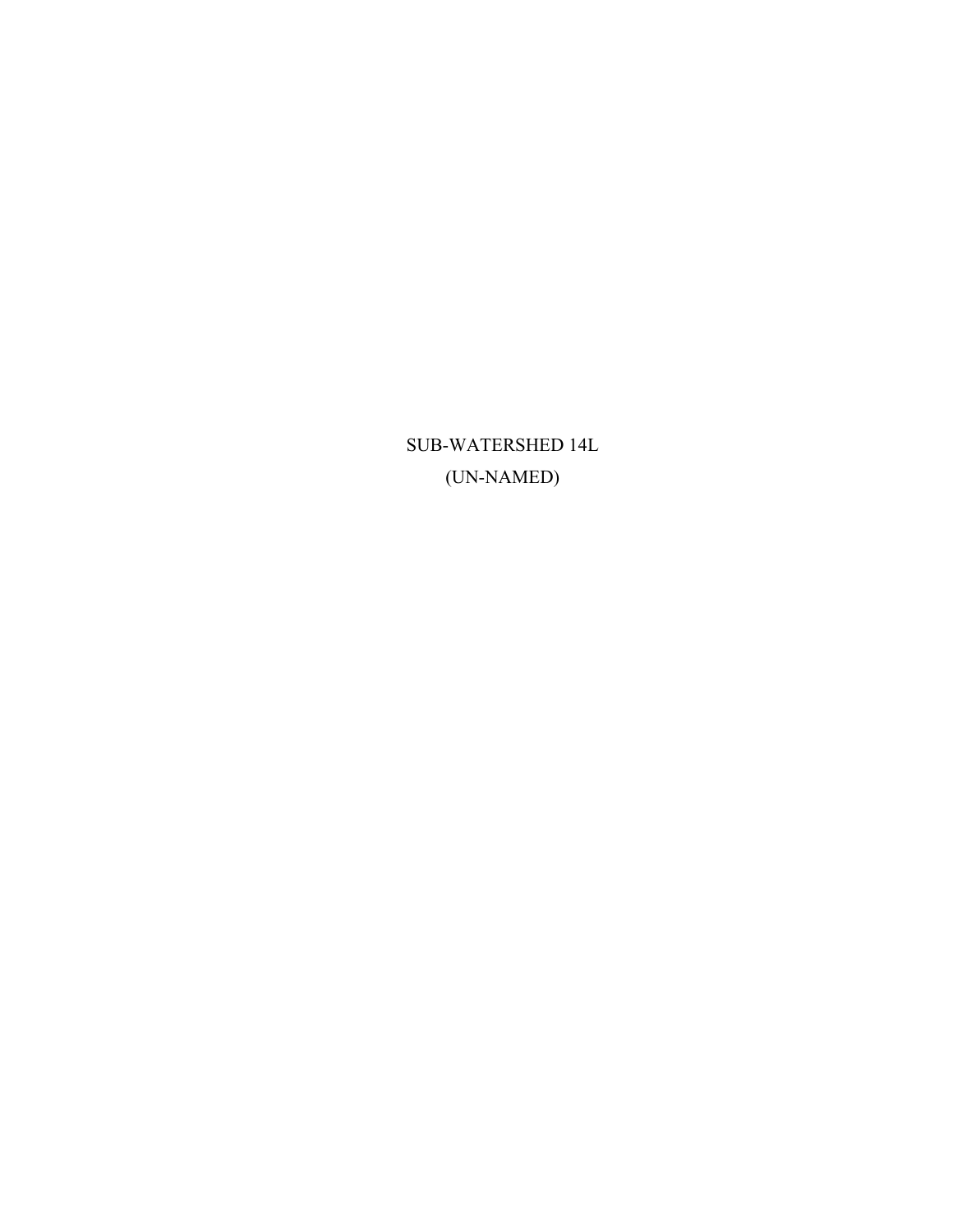SUB-WATERSHED 14L (UN-NAMED)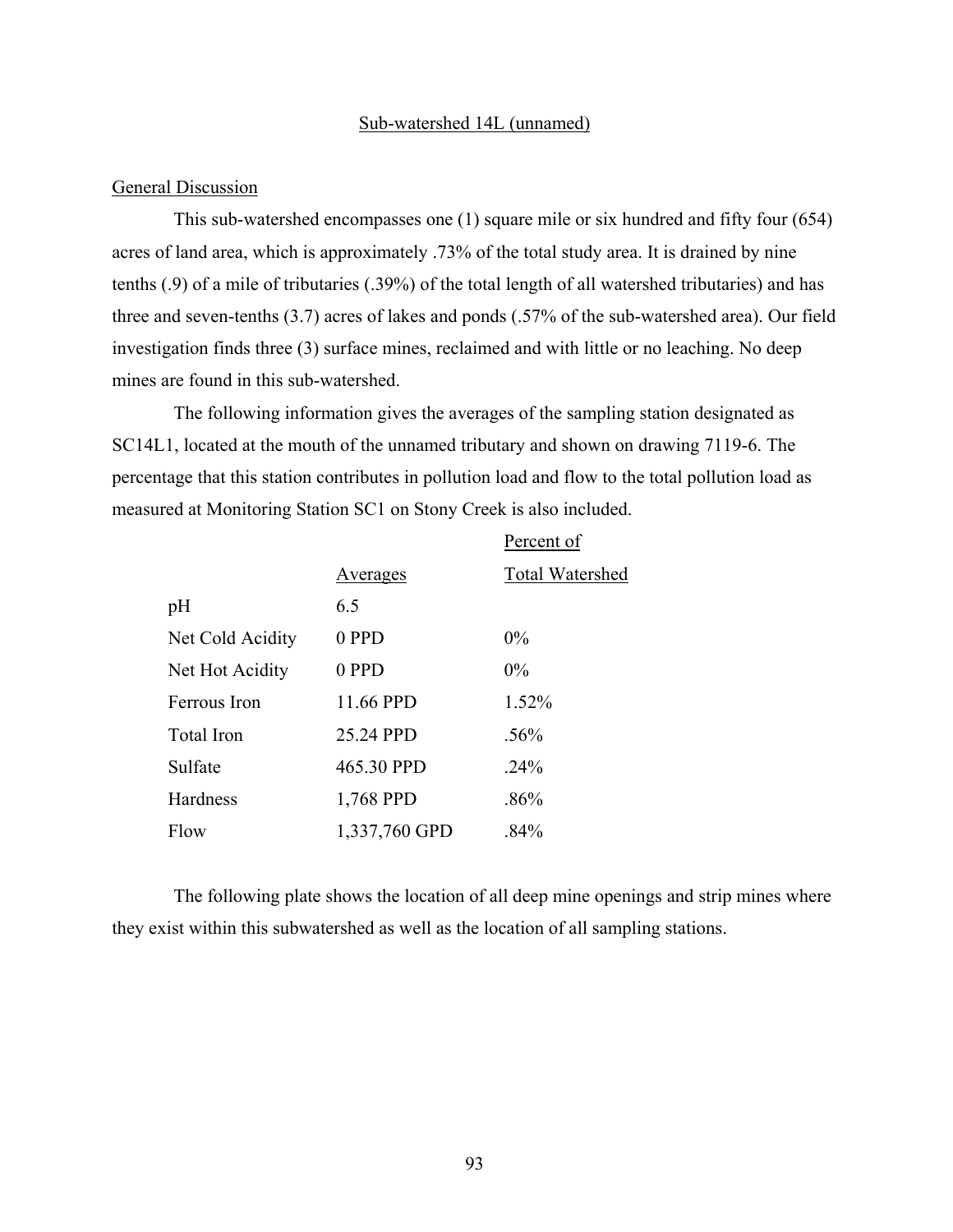#### Sub-watershed 14L (unnamed)

### General Discussion

This sub-watershed encompasses one (1) square mile or six hundred and fifty four (654) acres of land area, which is approximately .73% of the total study area. It is drained by nine tenths (.9) of a mile of tributaries (.39%) of the total length of all watershed tributaries) and has three and seven-tenths (3.7) acres of lakes and ponds (.57% of the sub-watershed area). Our field investigation finds three (3) surface mines, reclaimed and with little or no leaching. No deep mines are found in this sub-watershed.

The following information gives the averages of the sampling station designated as SC14L1, located at the mouth of the unnamed tributary and shown on drawing 7119-6. The percentage that this station contributes in pollution load and flow to the total pollution load as measured at Monitoring Station SC1 on Stony Creek is also included.

|                   |               | Percent of             |
|-------------------|---------------|------------------------|
|                   | Averages      | <b>Total Watershed</b> |
| pH                | 6.5           |                        |
| Net Cold Acidity  | 0 PPD         | $0\%$                  |
| Net Hot Acidity   | 0 PPD         | $0\%$                  |
| Ferrous Iron      | 11.66 PPD     | 1.52%                  |
| <b>Total Iron</b> | 25.24 PPD     | $.56\%$                |
| Sulfate           | 465.30 PPD    | .24%                   |
| Hardness          | 1,768 PPD     | .86%                   |
| Flow              | 1,337,760 GPD | .84%                   |

The following plate shows the location of all deep mine openings and strip mines where they exist within this subwatershed as well as the location of all sampling stations.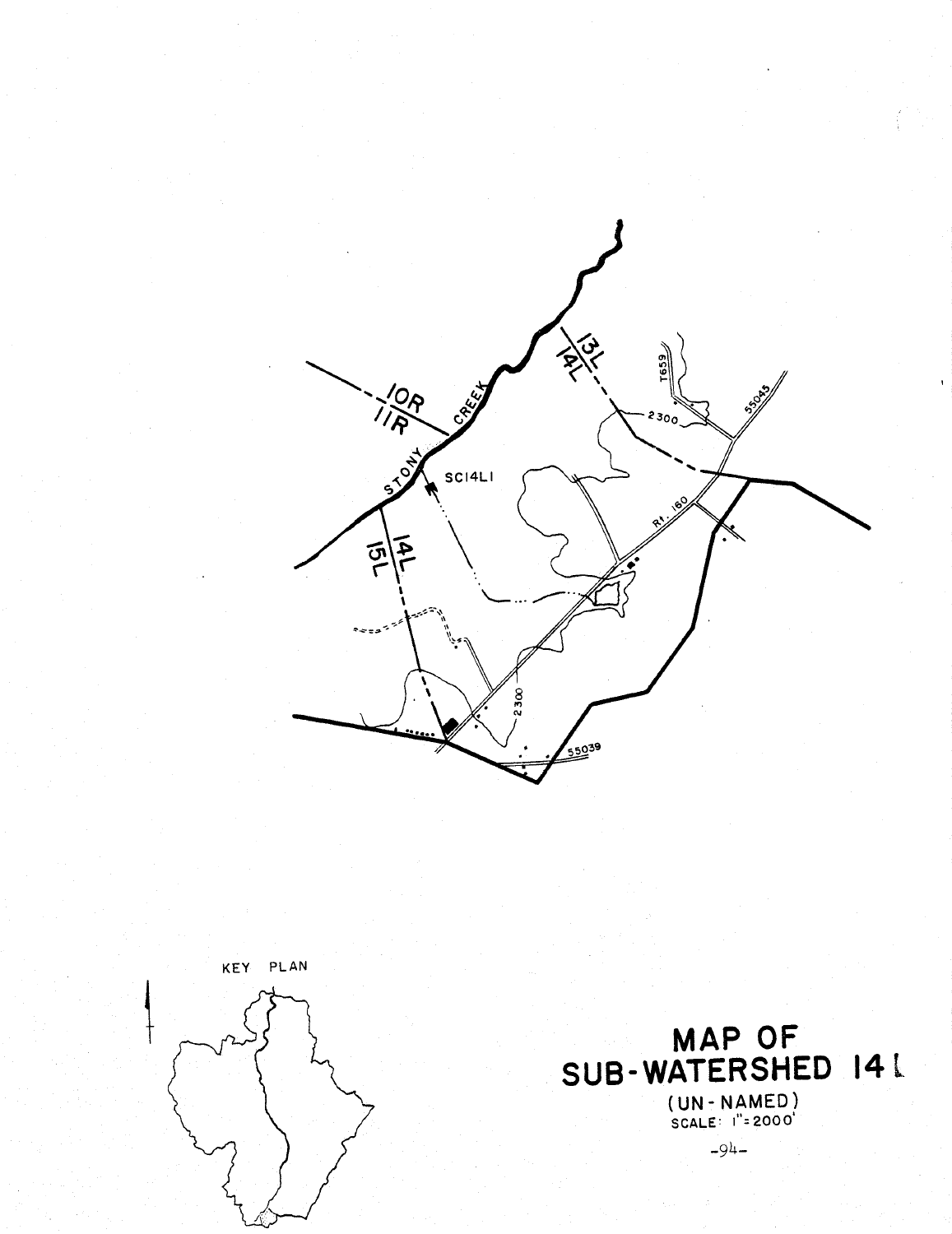



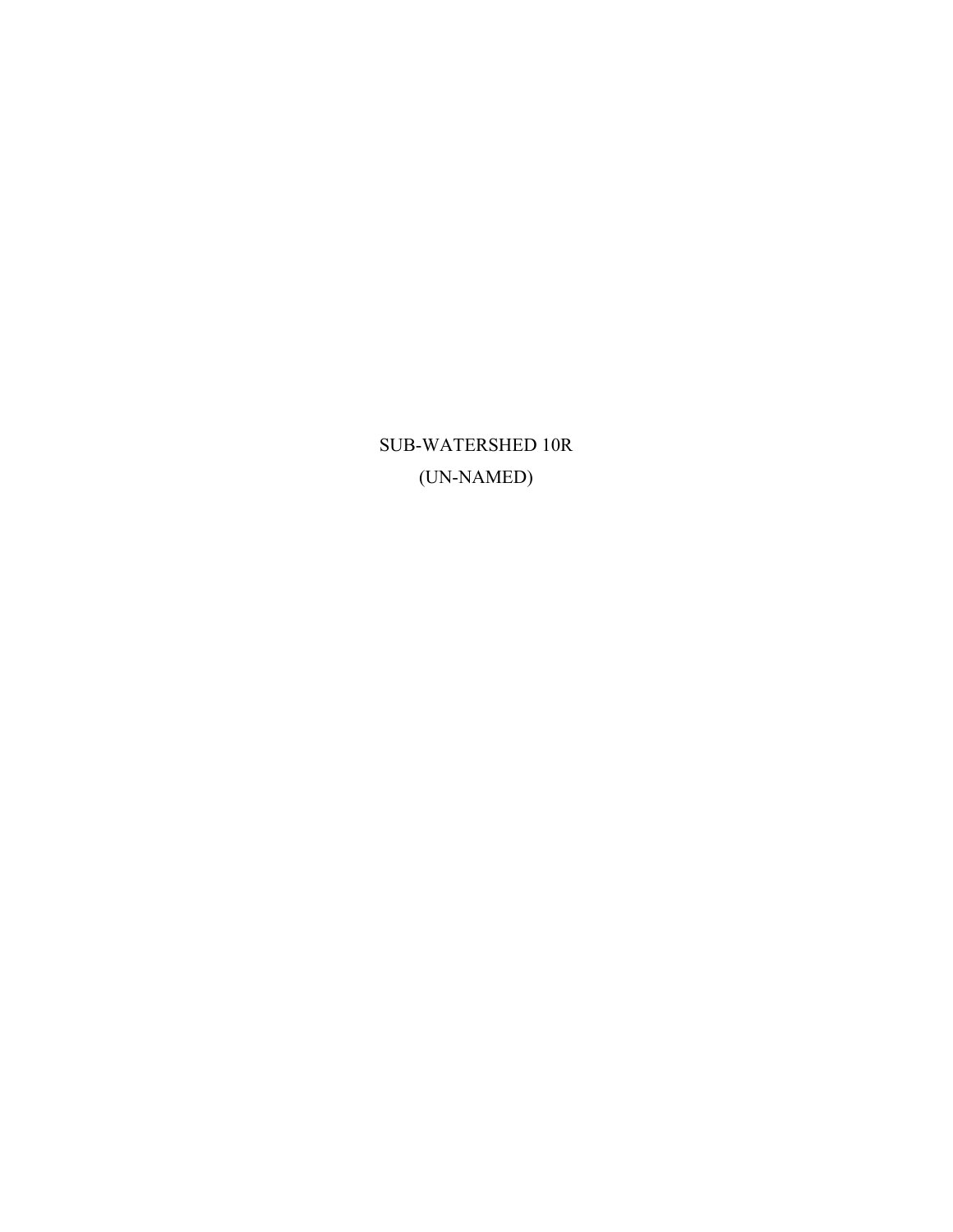SUB-WATERSHED 10R (UN-NAMED)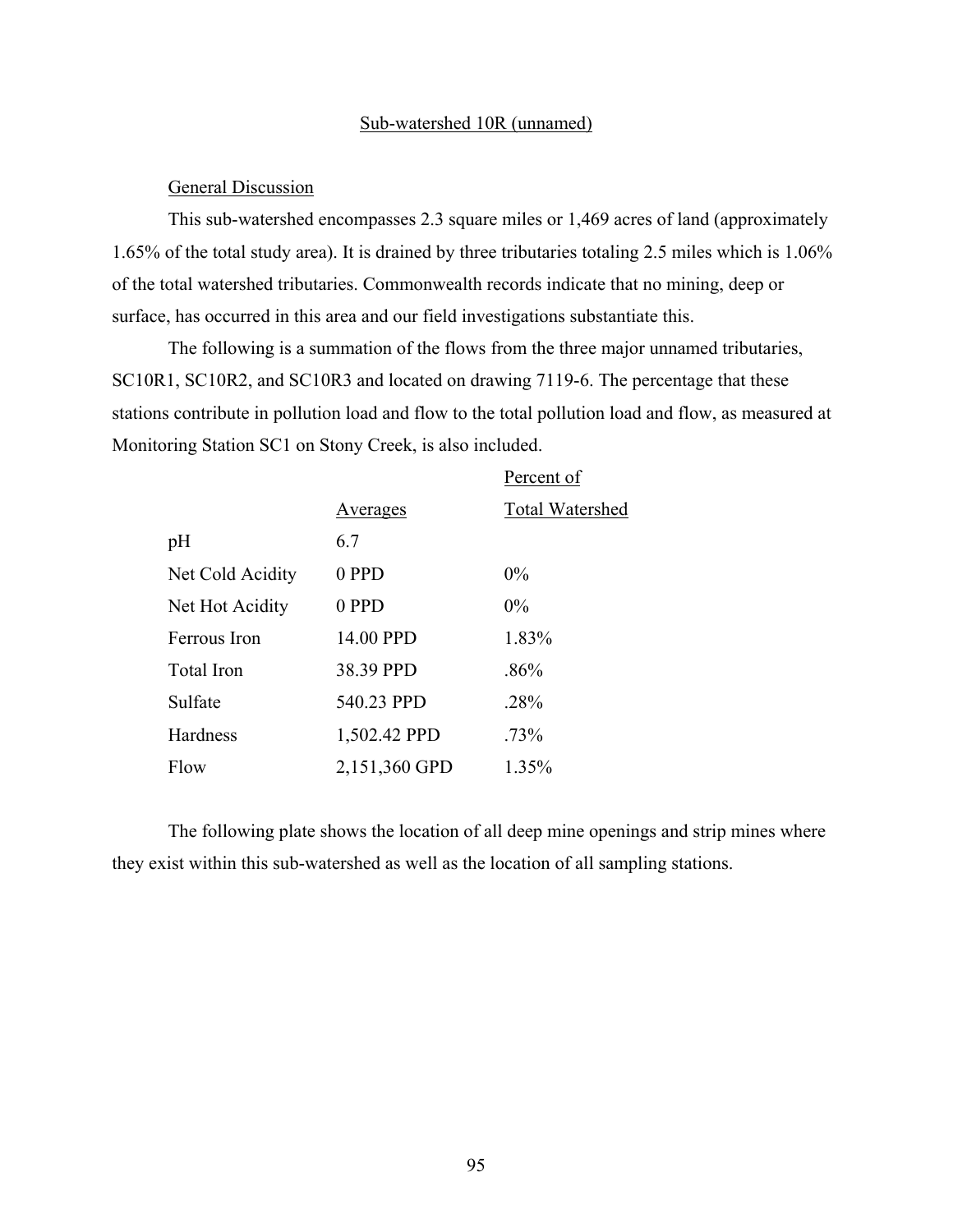#### Sub-watershed 10R (unnamed)

#### General Discussion

This sub-watershed encompasses 2.3 square miles or 1,469 acres of land (approximately 1.65% of the total study area). It is drained by three tributaries totaling 2.5 miles which is 1.06% of the total watershed tributaries. Commonwealth records indicate that no mining, deep or surface, has occurred in this area and our field investigations substantiate this.

The following is a summation of the flows from the three major unnamed tributaries, SC10R1, SC10R2, and SC10R3 and located on drawing 7119-6. The percentage that these stations contribute in pollution load and flow to the total pollution load and flow, as measured at Monitoring Station SC1 on Stony Creek, is also included.

|                   |                 | Percent of             |
|-------------------|-----------------|------------------------|
|                   | <u>Averages</u> | <b>Total Watershed</b> |
| pH                | 6.7             |                        |
| Net Cold Acidity  | 0 PPD           | $0\%$                  |
| Net Hot Acidity   | 0 PPD           | $0\%$                  |
| Ferrous Iron      | 14.00 PPD       | 1.83%                  |
| <b>Total Iron</b> | 38.39 PPD       | $.86\%$                |
| Sulfate           | 540.23 PPD      | .28%                   |
| Hardness          | 1,502.42 PPD    | $.73\%$                |
| Flow              | 2,151,360 GPD   | 1.35%                  |

The following plate shows the location of all deep mine openings and strip mines where they exist within this sub-watershed as well as the location of all sampling stations.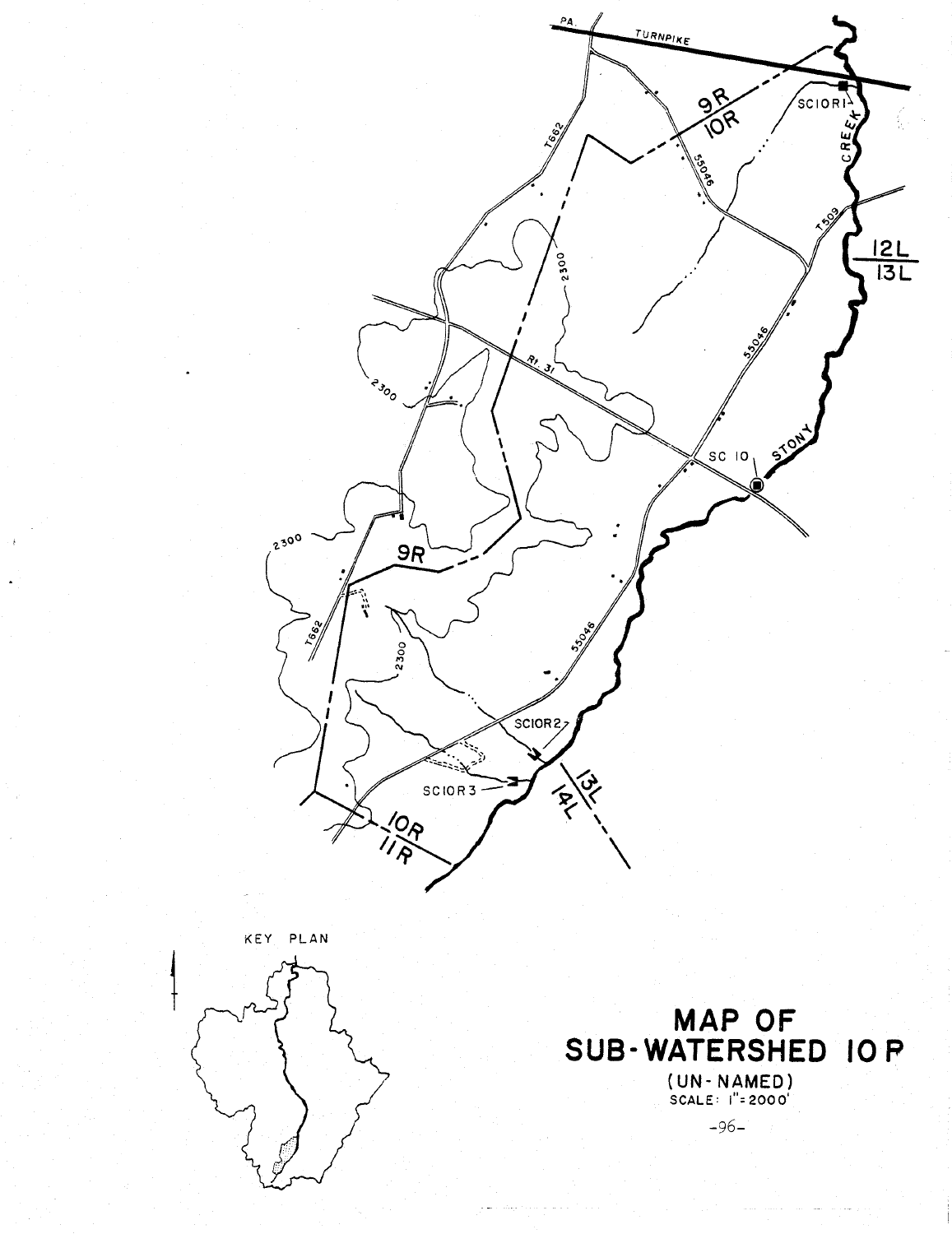

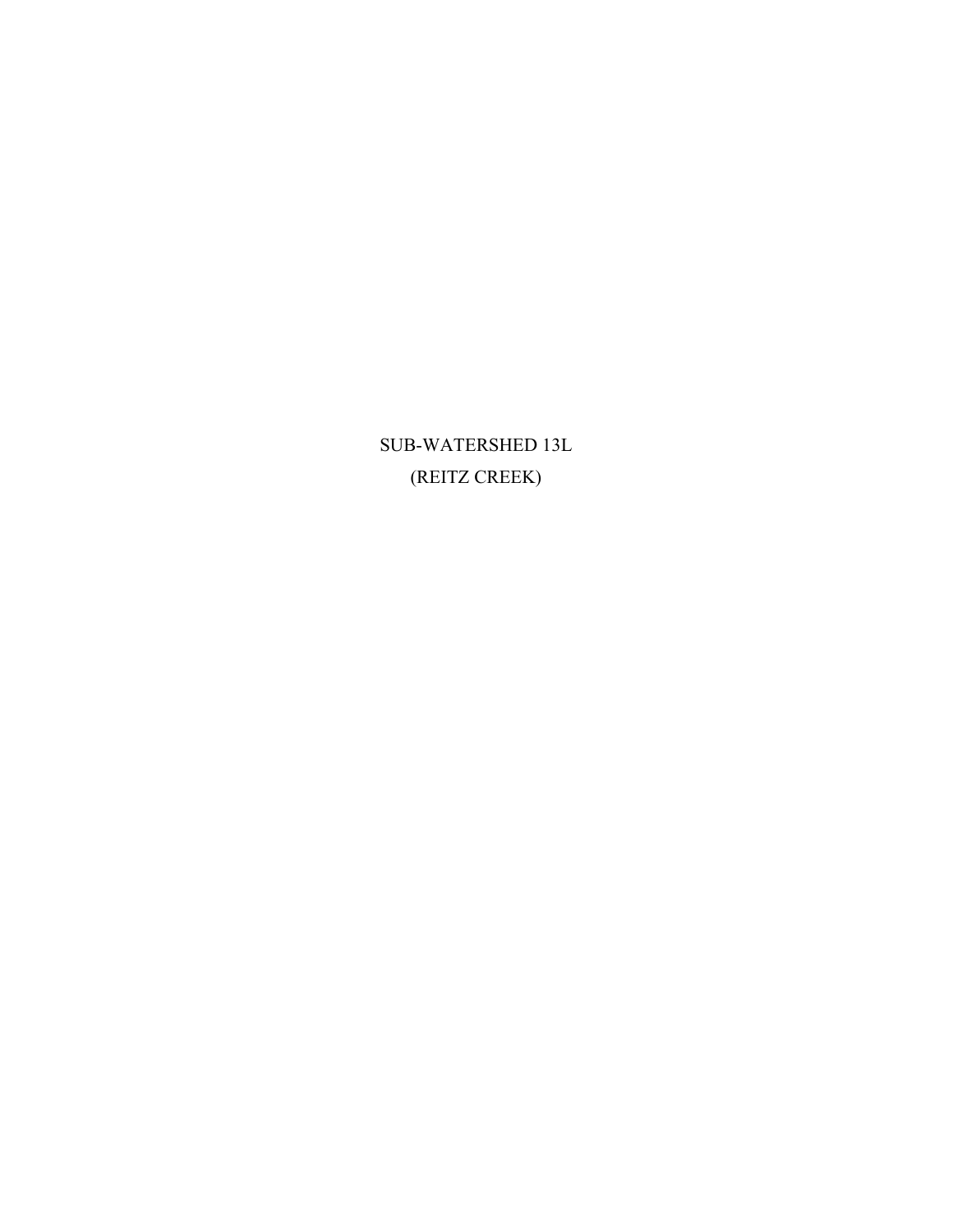SUB-WATERSHED 13L (REITZ CREEK)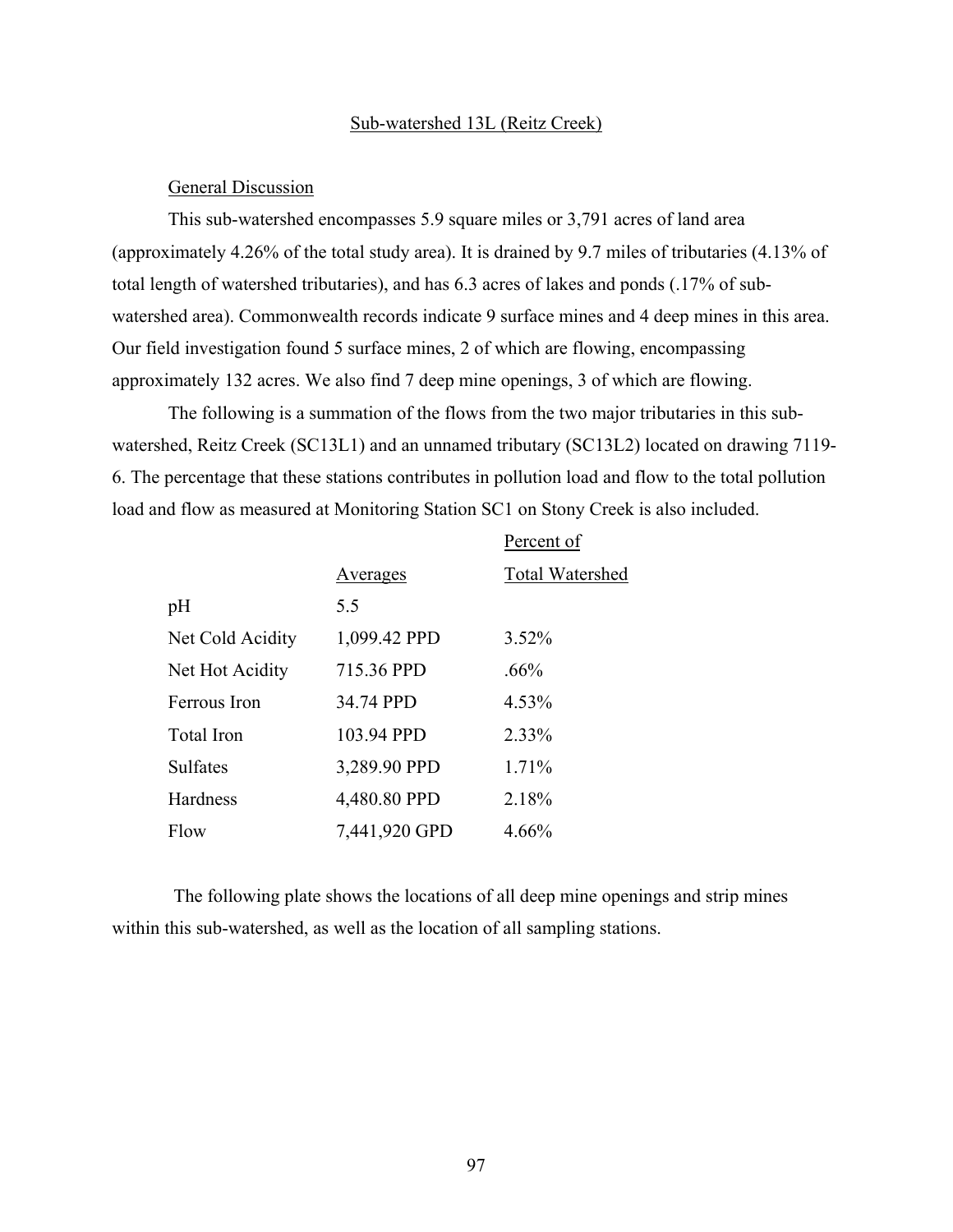#### Sub-watershed 13L (Reitz Creek)

#### General Discussion

This sub-watershed encompasses 5.9 square miles or 3,791 acres of land area (approximately 4.26% of the total study area). It is drained by 9.7 miles of tributaries (4.13% of total length of watershed tributaries), and has 6.3 acres of lakes and ponds (.17% of subwatershed area). Commonwealth records indicate 9 surface mines and 4 deep mines in this area. Our field investigation found 5 surface mines, 2 of which are flowing, encompassing approximately 132 acres. We also find 7 deep mine openings, 3 of which are flowing.

The following is a summation of the flows from the two major tributaries in this subwatershed, Reitz Creek (SC13L1) and an unnamed tributary (SC13L2) located on drawing 7119- 6. The percentage that these stations contributes in pollution load and flow to the total pollution load and flow as measured at Monitoring Station SC1 on Stony Creek is also included.

|                  |               | Percent of             |
|------------------|---------------|------------------------|
|                  | Averages      | <b>Total Watershed</b> |
| pH               | 5.5           |                        |
| Net Cold Acidity | 1,099.42 PPD  | 3.52%                  |
| Net Hot Acidity  | 715.36 PPD    | $.66\%$                |
| Ferrous Iron     | 34.74 PPD     | 4.53%                  |
| Total Iron       | 103.94 PPD    | 2.33%                  |
| <b>Sulfates</b>  | 3,289.90 PPD  | 1.71%                  |
| Hardness         | 4,480.80 PPD  | 2.18%                  |
| Flow             | 7,441,920 GPD | 4.66%                  |

The following plate shows the locations of all deep mine openings and strip mines within this sub-watershed, as well as the location of all sampling stations.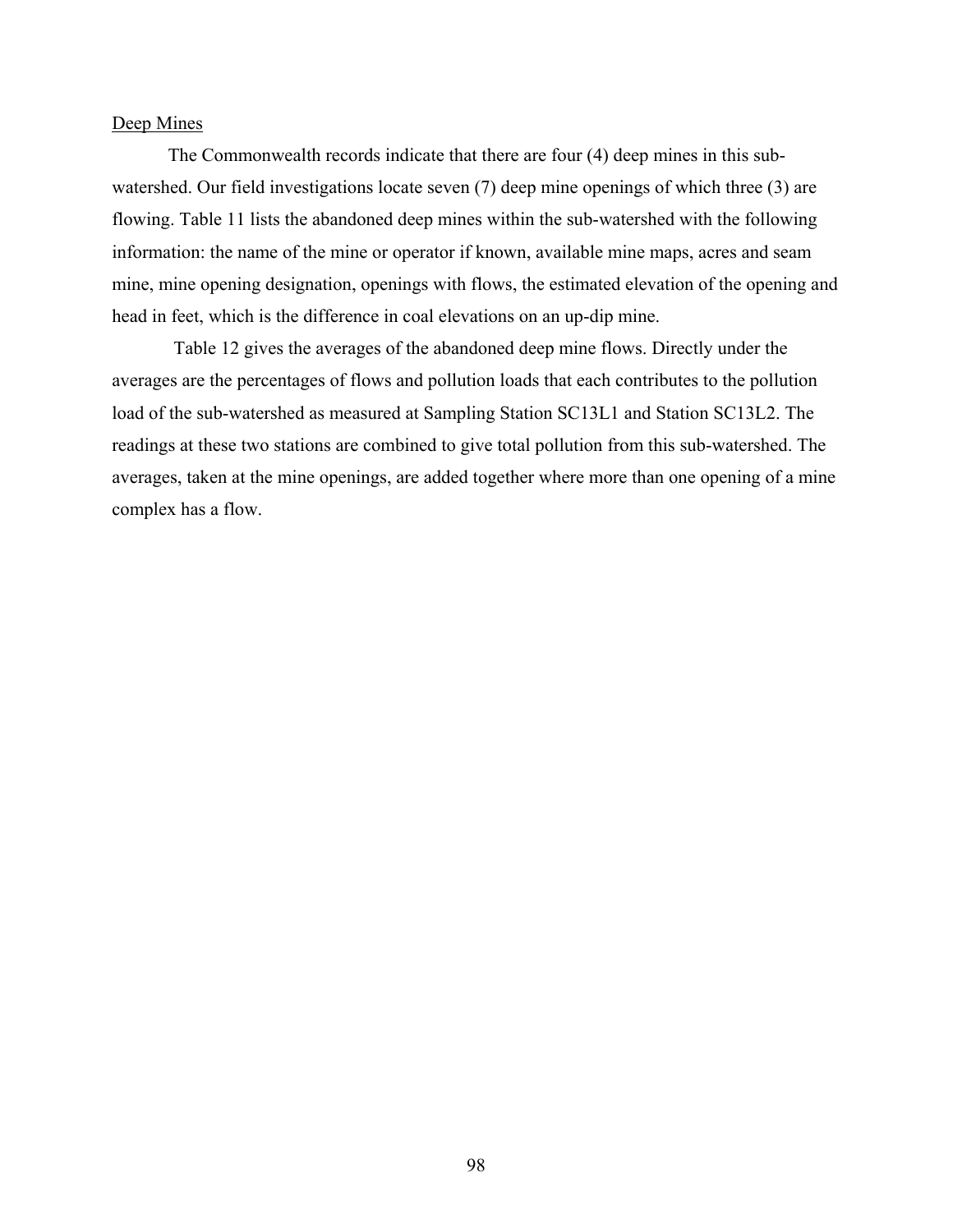### Deep Mines

The Commonwealth records indicate that there are four (4) deep mines in this subwatershed. Our field investigations locate seven (7) deep mine openings of which three (3) are flowing. Table 11 lists the abandoned deep mines within the sub-watershed with the following information: the name of the mine or operator if known, available mine maps, acres and seam mine, mine opening designation, openings with flows, the estimated elevation of the opening and head in feet, which is the difference in coal elevations on an up-dip mine.

Table 12 gives the averages of the abandoned deep mine flows. Directly under the averages are the percentages of flows and pollution loads that each contributes to the pollution load of the sub-watershed as measured at Sampling Station SC13L1 and Station SC13L2. The readings at these two stations are combined to give total pollution from this sub-watershed. The averages, taken at the mine openings, are added together where more than one opening of a mine complex has a flow.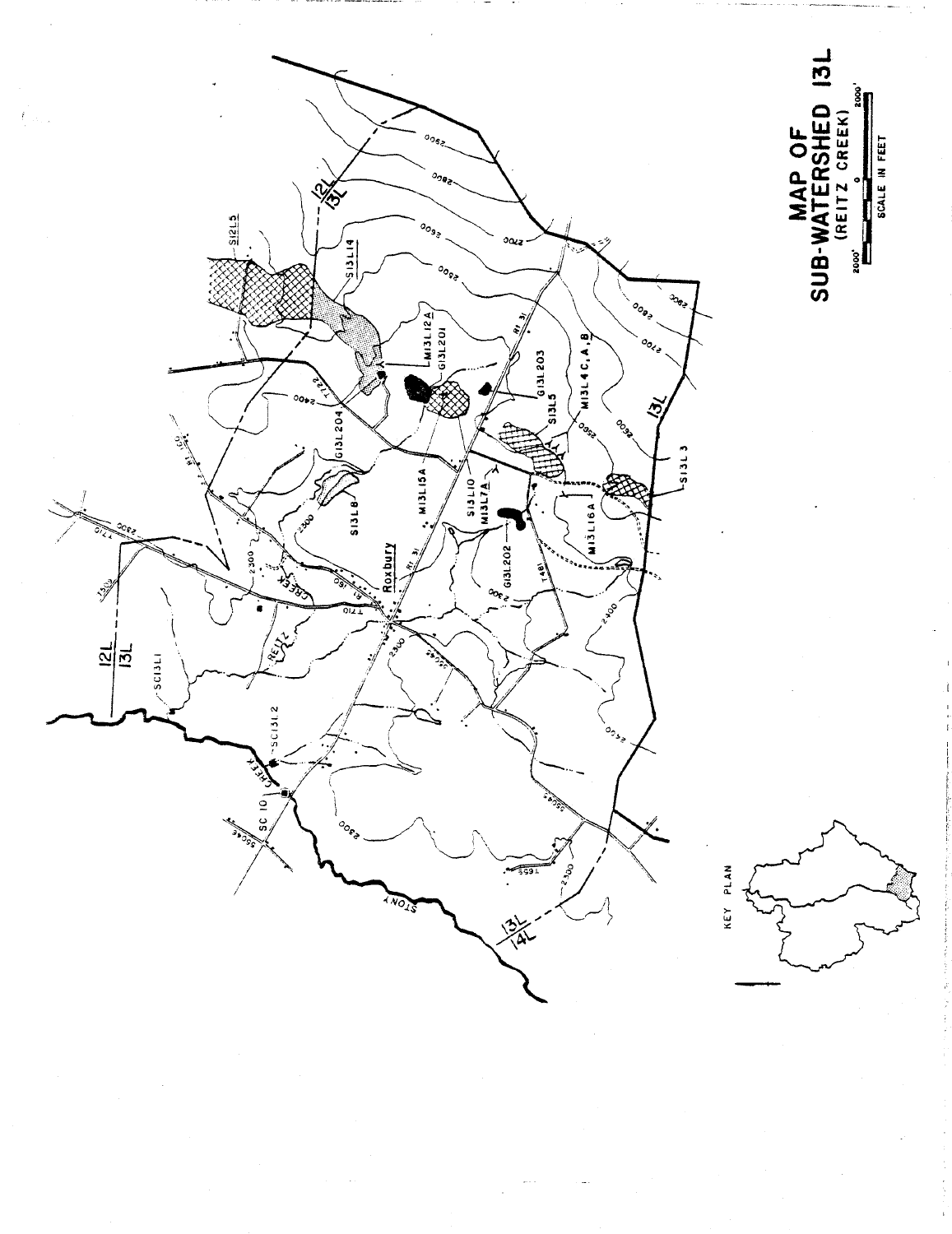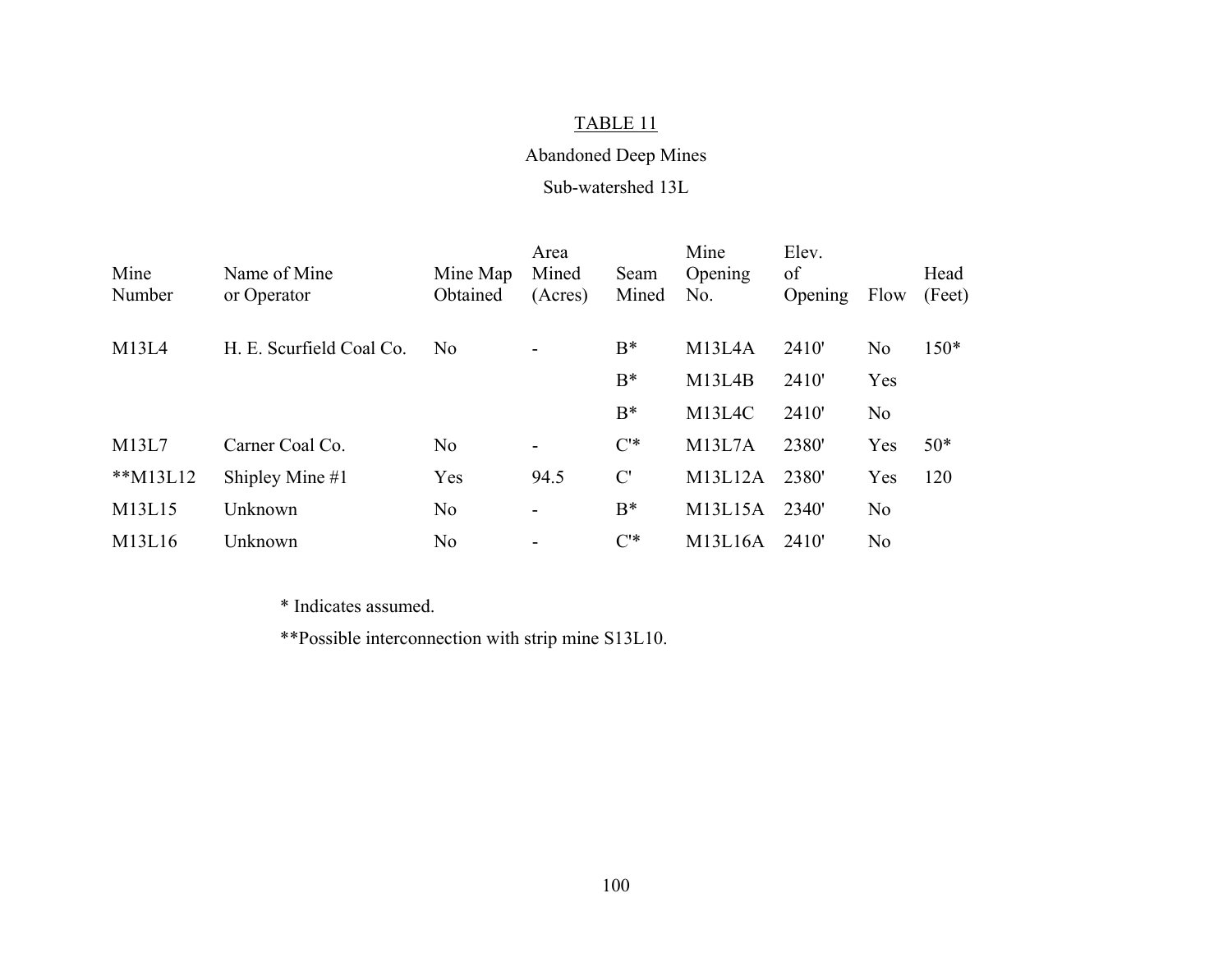## Abandoned Deep Mines

#### Sub-watershed 13L

| Mine        | Name of Mine             | Mine Map       | Area<br>Mined            | Seam  | Mine<br>Opening     | Elev.<br>of |                | Head   |
|-------------|--------------------------|----------------|--------------------------|-------|---------------------|-------------|----------------|--------|
| Number      | or Operator              | Obtained       | (Acres)                  | Mined | No.                 | Opening     | Flow           | (Feet) |
| M13L4       | H. E. Scurfield Coal Co. | No             |                          | $B^*$ | M <sub>13L4</sub> A | 2410'       | N <sub>o</sub> | $150*$ |
|             |                          |                |                          | $B^*$ | M <sub>13L4</sub> B | 2410'       | Yes            |        |
|             |                          |                |                          | $B^*$ | M <sub>13L4C</sub>  | 2410'       | N <sub>0</sub> |        |
| M13L7       | Carner Coal Co.          | N <sub>o</sub> | -                        | $C^*$ | M13L7A              | 2380'       | Yes            | $50*$  |
| ** $M13L12$ | Shipley Mine $#1$        | Yes            | 94.5                     | C'    | M13L12A             | 2380'       | Yes            | 120    |
| M13L15      | Unknown                  | No             | -                        | $B^*$ | M13L15A             | 2340'       | N <sub>o</sub> |        |
| M13L16      | Unknown                  | N <sub>o</sub> | $\overline{\phantom{a}}$ | $C^*$ | M13L16A             | 2410        | N <sub>o</sub> |        |

\* Indicates assumed.

\*\*Possible interconnection with strip mine S13L10.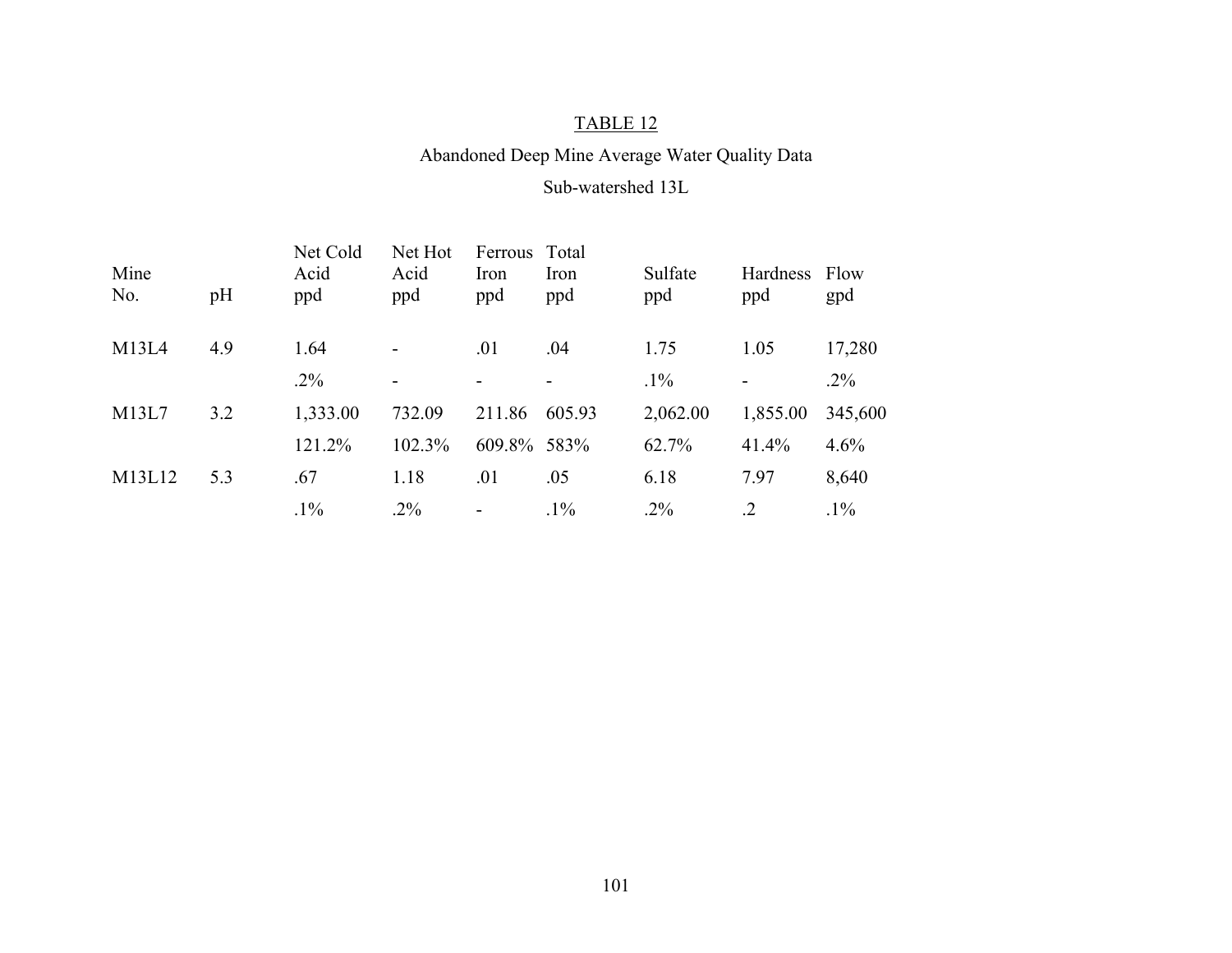## Abandoned Deep Mine Average Water Quality Data

#### Sub-watershed 13L

| Mine<br>No. | pH  | Net Cold<br>Acid<br>ppd | Net Hot<br>Acid<br>ppd   | Ferrous<br>Iron<br>ppd   | Total<br>Iron<br>ppd     | Sulfate<br>ppd | Hardness<br>ppd          | Flow<br>gpd |
|-------------|-----|-------------------------|--------------------------|--------------------------|--------------------------|----------------|--------------------------|-------------|
| M13L4       | 4.9 | 1.64                    | $\overline{\phantom{a}}$ | .01                      | .04                      | 1.75           | 1.05                     | 17,280      |
|             |     | $.2\%$                  | $\overline{\phantom{a}}$ | -                        | $\overline{\phantom{a}}$ | $.1\%$         | $\overline{\phantom{a}}$ | $.2\%$      |
| M13L7       | 3.2 | 1,333.00                | 732.09                   | 211.86                   | 605.93                   | 2,062.00       | 1,855.00                 | 345,600     |
|             |     | 121.2%                  | 102.3%                   | 609.8% 583%              |                          | 62.7%          | 41.4%                    | 4.6%        |
| M13L12      | 5.3 | .67                     | 1.18                     | .01                      | .05                      | 6.18           | 7.97                     | 8,640       |
|             |     | $.1\%$                  | $.2\%$                   | $\overline{\phantom{a}}$ | $.1\%$                   | $.2\%$         | $\cdot$ 2                | $.1\%$      |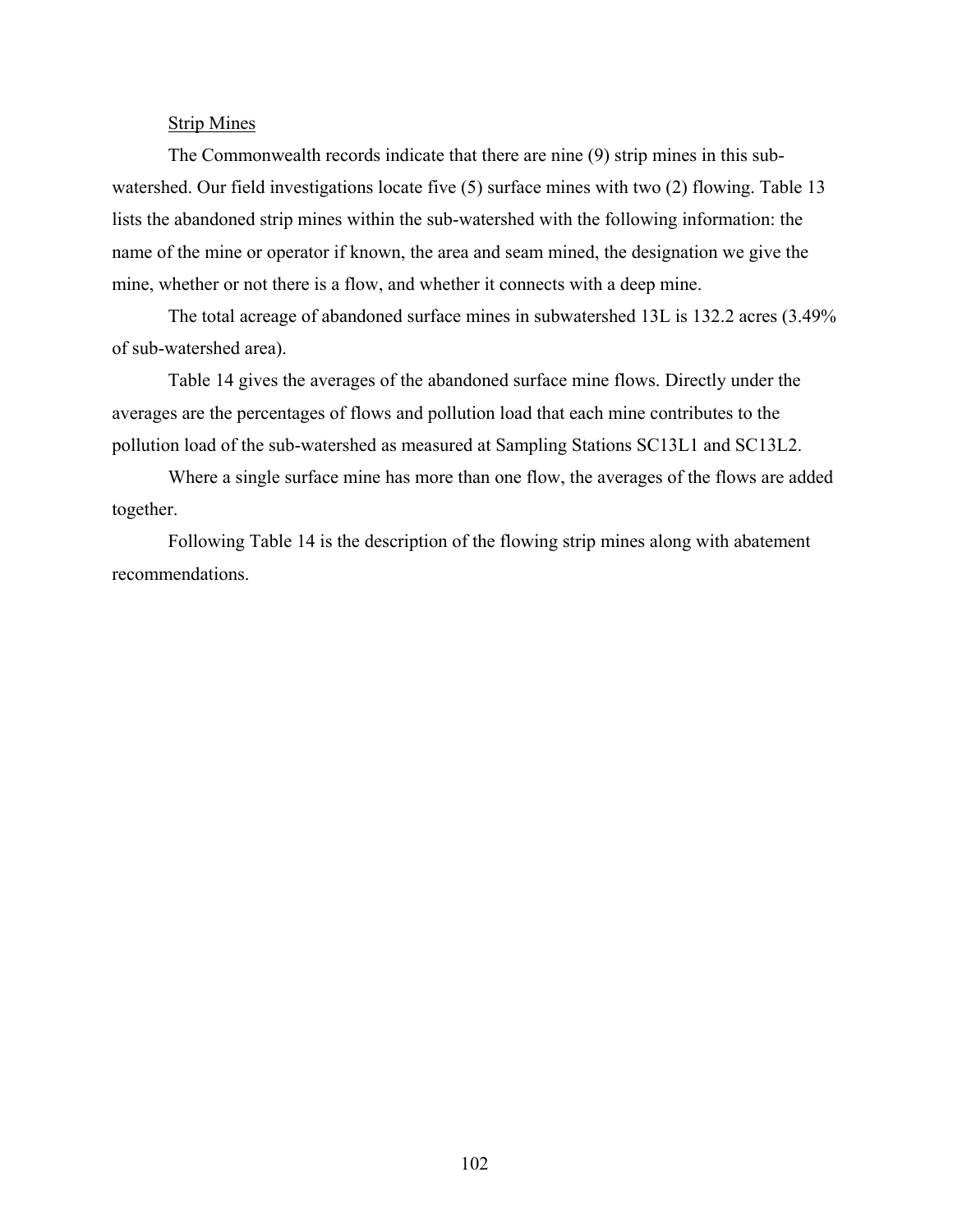### Strip Mines

The Commonwealth records indicate that there are nine (9) strip mines in this subwatershed. Our field investigations locate five (5) surface mines with two (2) flowing. Table 13 lists the abandoned strip mines within the sub-watershed with the following information: the name of the mine or operator if known, the area and seam mined, the designation we give the mine, whether or not there is a flow, and whether it connects with a deep mine.

The total acreage of abandoned surface mines in subwatershed 13L is 132.2 acres (3.49% of sub-watershed area).

Table 14 gives the averages of the abandoned surface mine flows. Directly under the averages are the percentages of flows and pollution load that each mine contributes to the pollution load of the sub-watershed as measured at Sampling Stations SC13L1 and SC13L2.

Where a single surface mine has more than one flow, the averages of the flows are added together.

Following Table 14 is the description of the flowing strip mines along with abatement recommendations.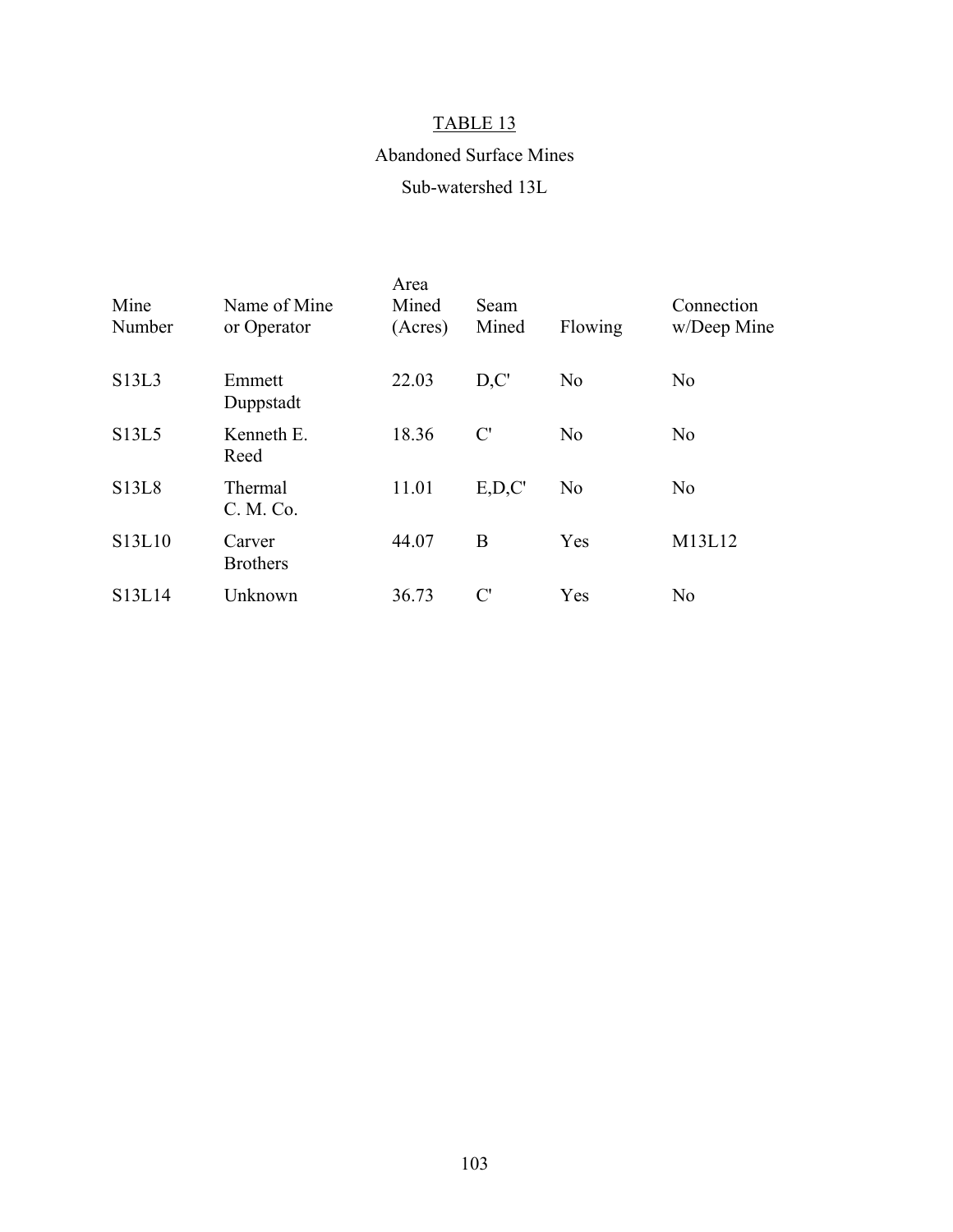## Abandoned Surface Mines

## Sub-watershed 13L

| Mine<br>Number                  | Name of Mine<br>or Operator | Area<br>Mined<br>(Acres) | Seam<br>Mined  | Flowing        | Connection<br>w/Deep Mine |
|---------------------------------|-----------------------------|--------------------------|----------------|----------------|---------------------------|
| S13L3                           | Emmett<br>Duppstadt         | 22.03                    | D, C'          | N <sub>0</sub> | N <sub>o</sub>            |
| S13L5                           | Kenneth E.<br>Reed          | 18.36                    | C'             | N <sub>0</sub> | N <sub>0</sub>            |
| <b>S13L8</b>                    | Thermal<br>C. M. Co.        | 11.01                    | E, D, C'       | N <sub>0</sub> | N <sub>o</sub>            |
| S13L10                          | Carver<br><b>Brothers</b>   | 44.07                    | B              | Yes            | M13L12                    |
| S <sub>13</sub> L <sub>14</sub> | Unknown                     | 36.73                    | $\mathcal{C}'$ | Yes            | N <sub>0</sub>            |
|                                 |                             |                          |                |                |                           |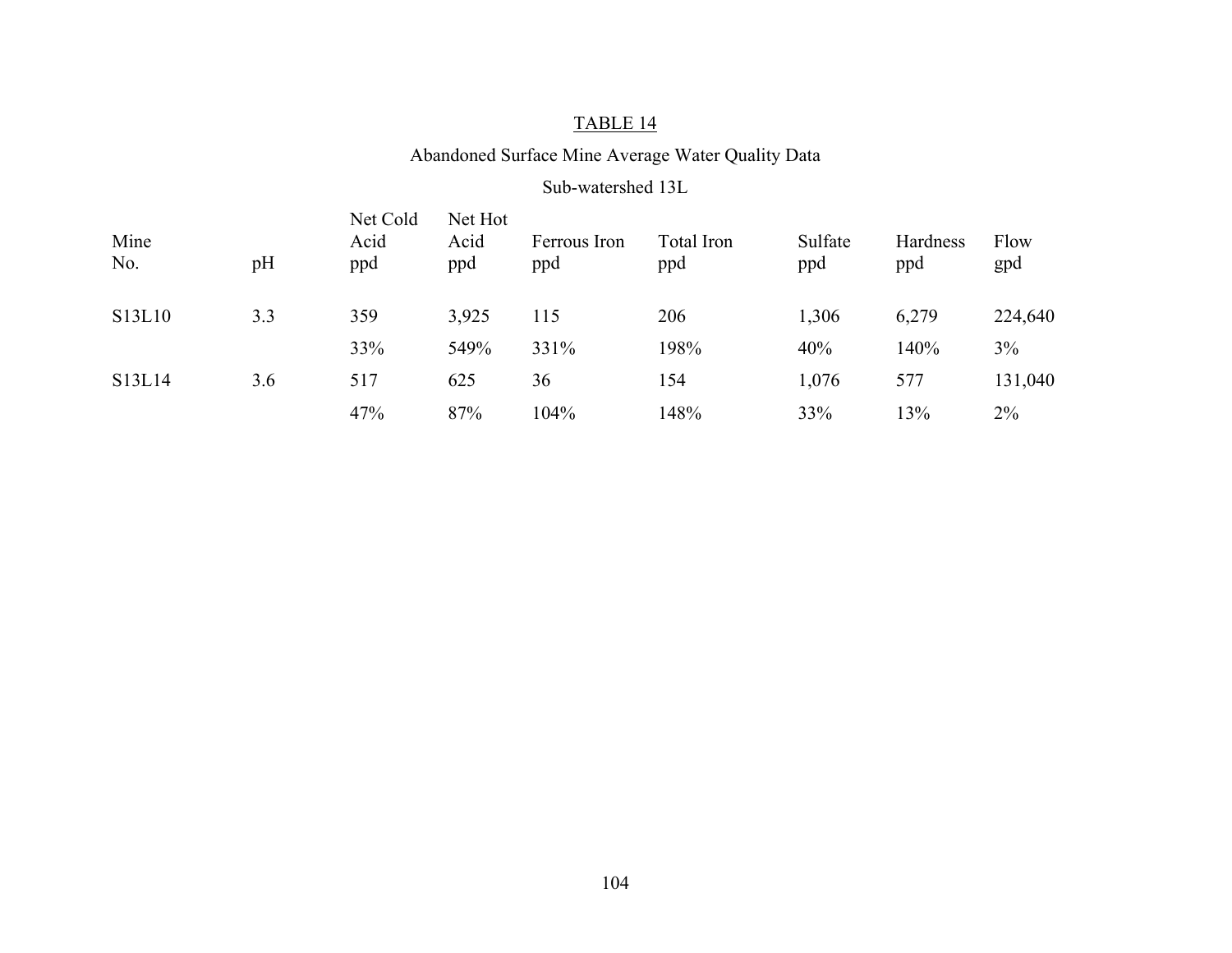## Abandoned Surface Mine Average Water Quality Data

#### Sub-watershed 13L

| Mine<br>No. | pH  | Net Cold<br>Acid<br>ppd | Net Hot<br>Acid<br>ppd | Ferrous Iron<br>ppd | Total Iron<br>ppd | Sulfate<br>ppd | Hardness<br>ppd | Flow<br>gpd |
|-------------|-----|-------------------------|------------------------|---------------------|-------------------|----------------|-----------------|-------------|
| S13L10      | 3.3 | 359                     | 3,925                  | 115                 | 206               | 1,306          | 6,279           | 224,640     |
|             |     | 33%                     | 549%                   | 331%                | 198%              | 40%            | 140%            | 3%          |
| S13L14      | 3.6 | 517                     | 625                    | 36                  | 154               | 1,076          | 577             | 131,040     |
|             |     | 47%                     | 87%                    | 104%                | 148%              | 33%            | 13%             | 2%          |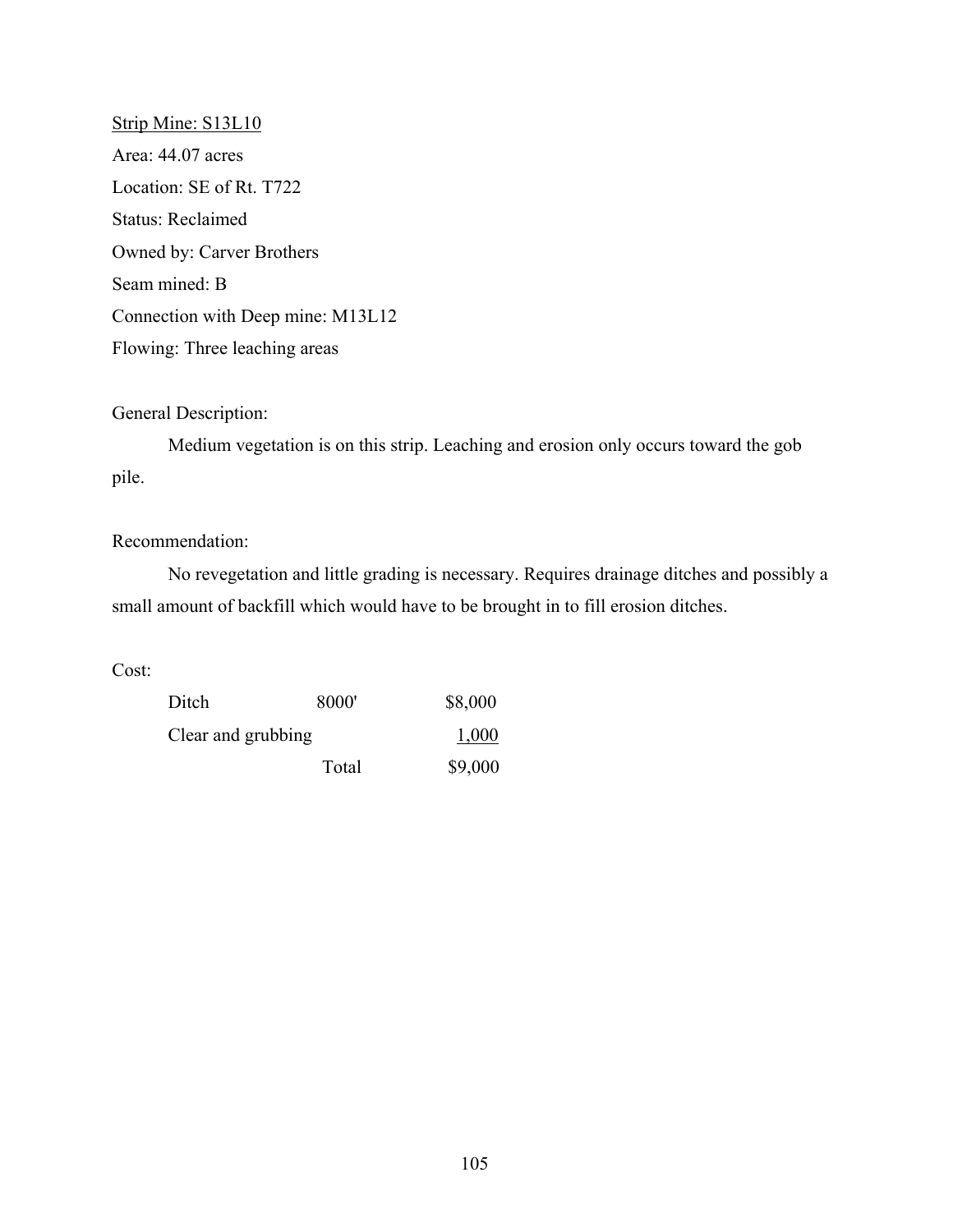Strip Mine: S13L10 Area: 44.07 acres Location: SE of Rt. T722 Status: Reclaimed Owned by: Carver Brothers Seam mined: B Connection with Deep mine: M13L12 Flowing: Three leaching areas

## General Description:

Medium vegetation is on this strip. Leaching and erosion only occurs toward the gob pile.

## Recommendation:

No revegetation and little grading is necessary. Requires drainage ditches and possibly a small amount of backfill which would have to be brought in to fill erosion ditches.

Cost:

| Ditch              | 8000' | \$8,000 |
|--------------------|-------|---------|
| Clear and grubbing | 1,000 |         |
|                    | Total | \$9,000 |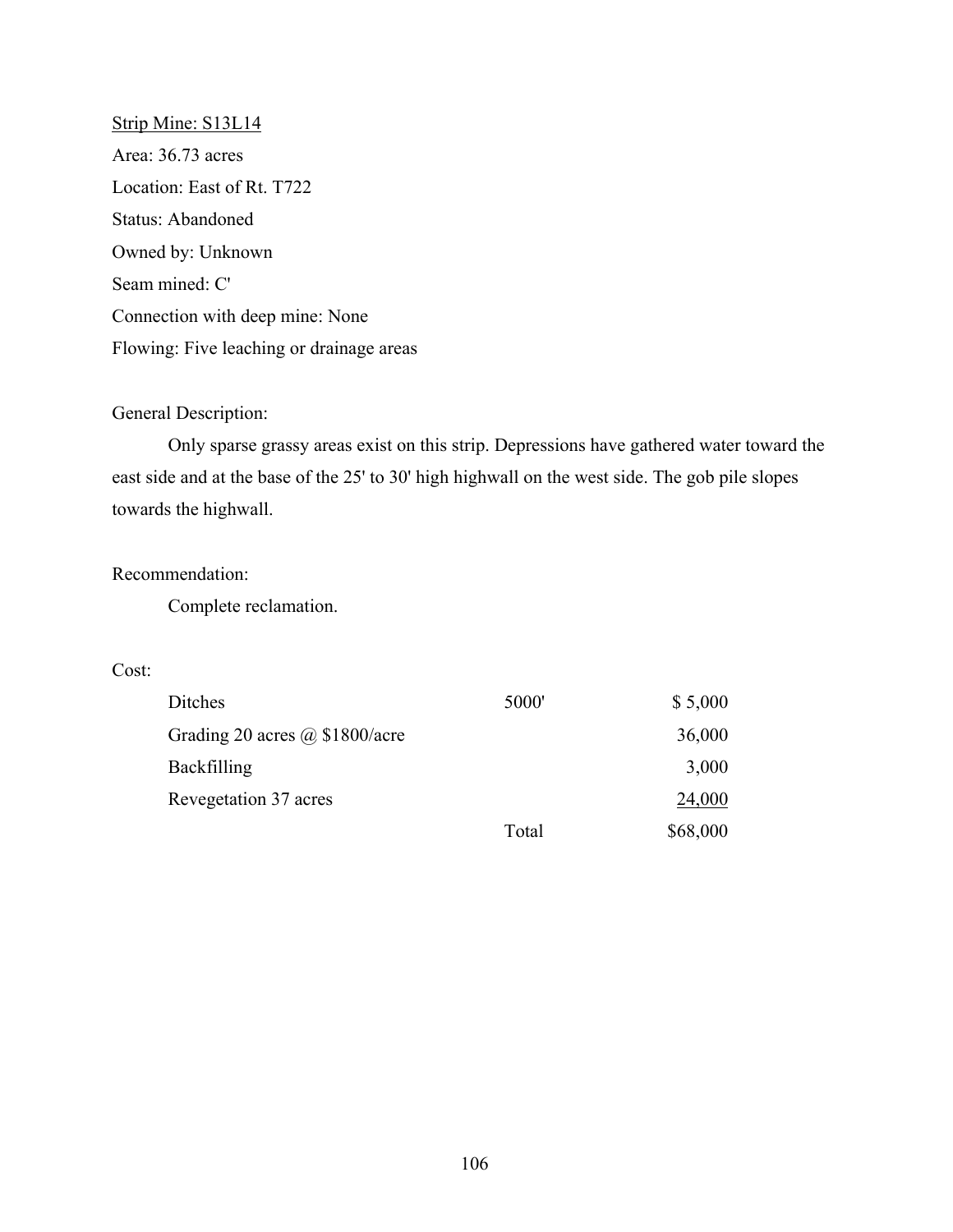Strip Mine: S13L14 Area: 36.73 acres Location: East of Rt. T722 Status: Abandoned Owned by: Unknown Seam mined: C' Connection with deep mine: None Flowing: Five leaching or drainage areas

## General Description:

Only sparse grassy areas exist on this strip. Depressions have gathered water toward the east side and at the base of the 25' to 30' high highwall on the west side. The gob pile slopes towards the highwall.

## Recommendation:

Complete reclamation.

## Cost:

| Ditches                               | 5000' | \$5,000  |
|---------------------------------------|-------|----------|
| Grading 20 acres $\omega$ \$1800/acre |       | 36,000   |
| <b>Backfilling</b>                    |       | 3,000    |
| Revegetation 37 acres                 |       | 24,000   |
|                                       | Total | \$68,000 |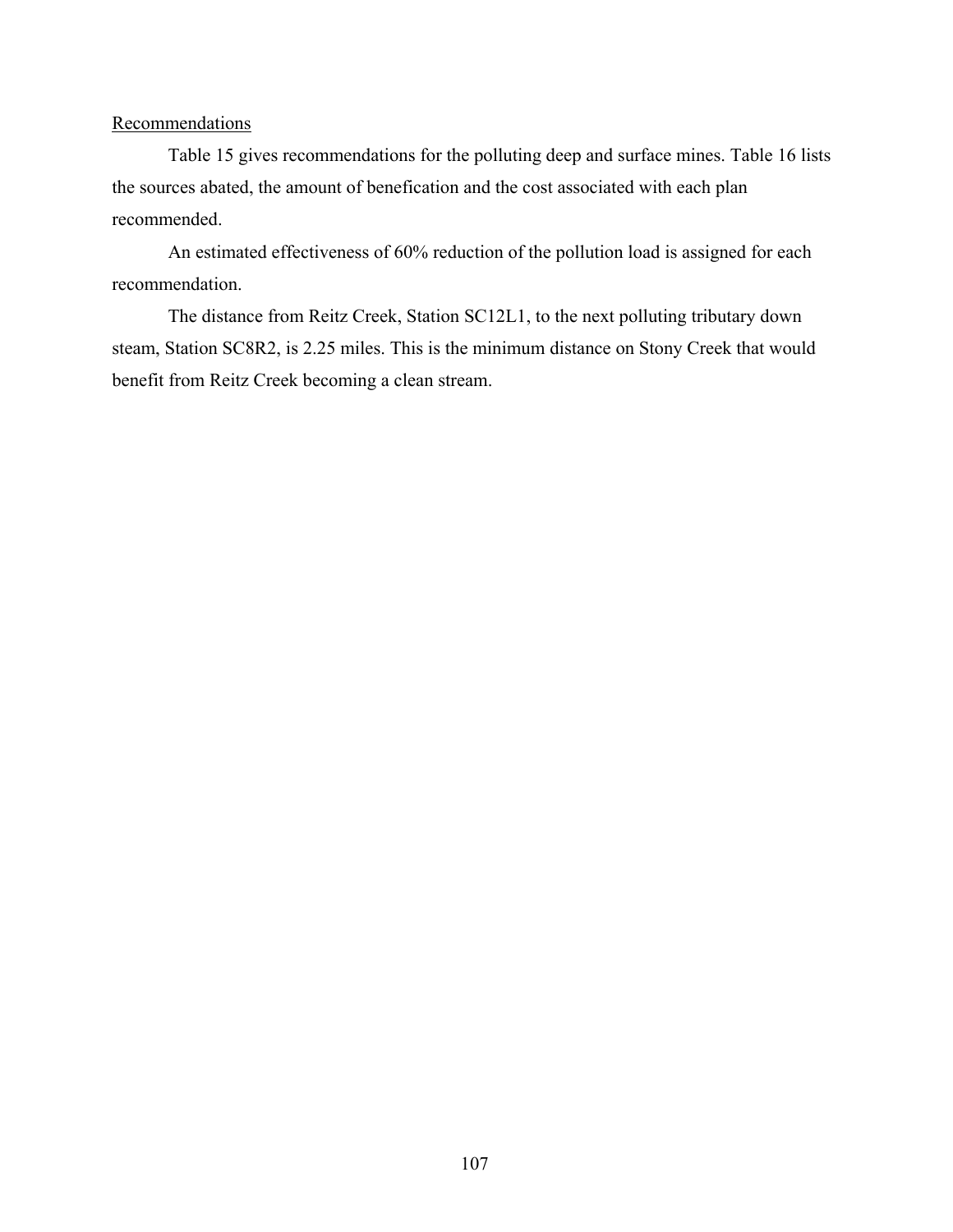## **Recommendations**

Table 15 gives recommendations for the polluting deep and surface mines. Table 16 lists the sources abated, the amount of benefication and the cost associated with each plan recommended.

An estimated effectiveness of 60% reduction of the pollution load is assigned for each recommendation.

The distance from Reitz Creek, Station SC12L1, to the next polluting tributary down steam, Station SC8R2, is 2.25 miles. This is the minimum distance on Stony Creek that would benefit from Reitz Creek becoming a clean stream.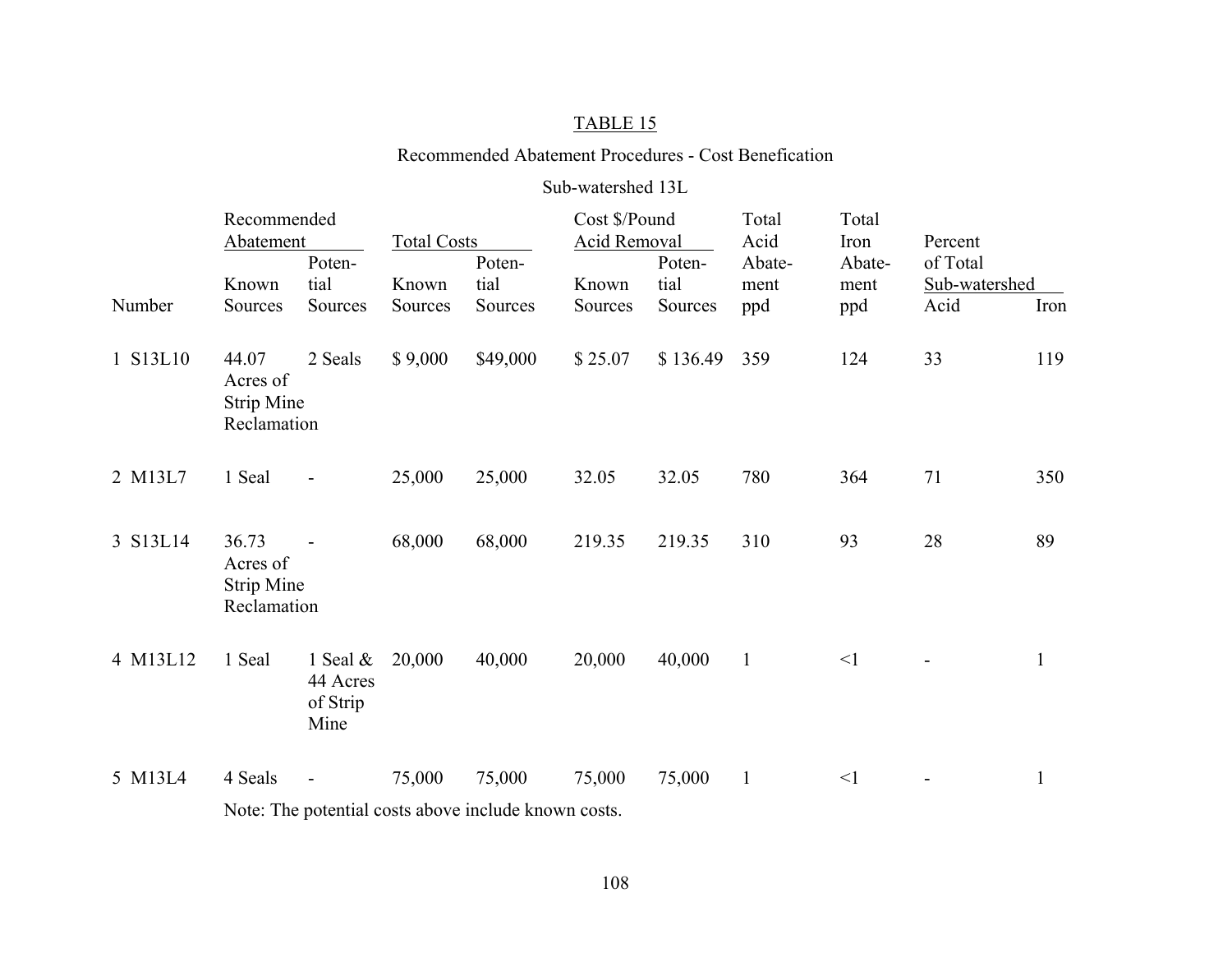#### Recommended Abatement Procedures - Cost Benefication

#### Sub-watershed 13L

|          | Recommended<br>Abatement                              |                                             | <b>Total Costs</b> |                | Cost \$/Pound<br>Acid Removal |                | Total<br>Acid  | Total<br>Iron  | Percent                   |              |  |  |
|----------|-------------------------------------------------------|---------------------------------------------|--------------------|----------------|-------------------------------|----------------|----------------|----------------|---------------------------|--------------|--|--|
|          | Known                                                 | Poten-<br>tial                              | Known              | Poten-<br>tial | Known                         | Poten-<br>tial | Abate-<br>ment | Abate-<br>ment | of Total<br>Sub-watershed |              |  |  |
| Number   | Sources                                               | Sources                                     | Sources            | Sources        | Sources                       | Sources        | ppd            | ppd            | Acid                      | Iron         |  |  |
| 1 S13L10 | 44.07<br>Acres of<br><b>Strip Mine</b><br>Reclamation | 2 Seals                                     | \$9,000            | \$49,000       | \$25.07                       | \$136.49       | 359            | 124            | 33                        | 119          |  |  |
| 2 M13L7  | 1 Seal                                                |                                             | 25,000             | 25,000         | 32.05                         | 32.05          | 780            | 364            | 71                        | 350          |  |  |
| 3 S13L14 | 36.73<br>Acres of<br><b>Strip Mine</b><br>Reclamation |                                             | 68,000             | 68,000         | 219.35                        | 219.35         | 310            | 93             | 28                        | 89           |  |  |
| 4 M13L12 | 1 Seal                                                | 1 Seal $\&$<br>44 Acres<br>of Strip<br>Mine | 20,000             | 40,000         | 20,000                        | 40,000         | $\mathbf{1}$   | $\leq$ 1       |                           | $\mathbf{1}$ |  |  |
| 5 M13L4  | 4 Seals                                               |                                             | 75,000             | 75,000         | 75,000                        | 75,000         | $\mathbf{1}$   | $\leq$ 1       |                           | $\mathbf{1}$ |  |  |
|          | Note: The potential costs above include known costs.  |                                             |                    |                |                               |                |                |                |                           |              |  |  |

108